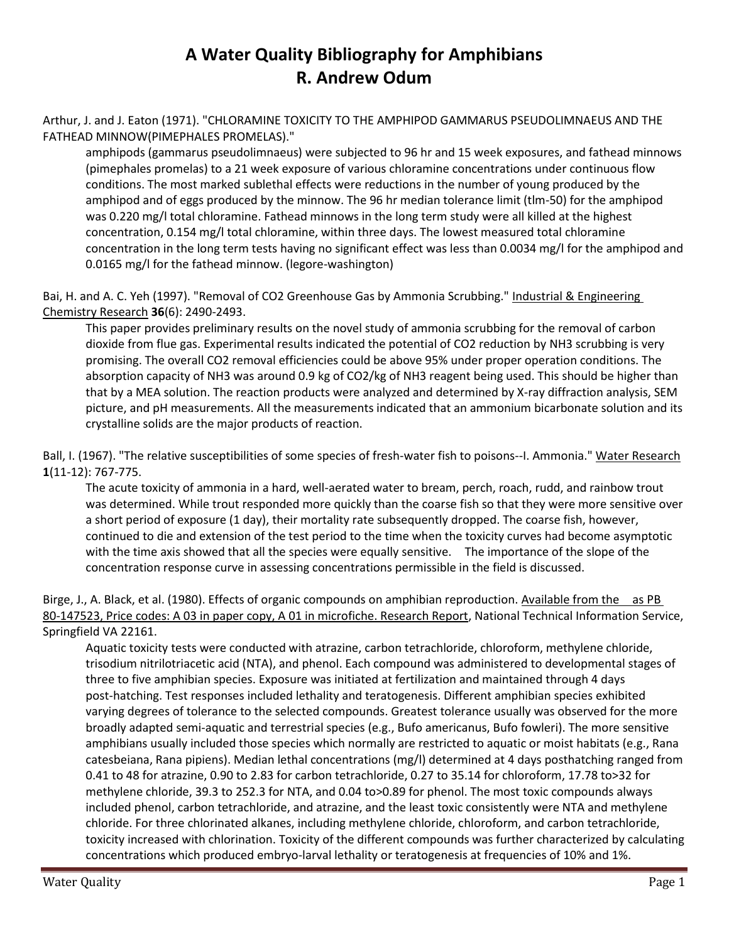## **A Water Quality Bibliography for Amphibians R. Andrew Odum**

Arthur, J. and J. Eaton (1971). "CHLORAMINE TOXICITY TO THE AMPHIPOD GAMMARUS PSEUDOLIMNAEUS AND THE FATHEAD MINNOW(PIMEPHALES PROMELAS)."

amphipods (gammarus pseudolimnaeus) were subjected to 96 hr and 15 week exposures, and fathead minnows (pimephales promelas) to a 21 week exposure of various chloramine concentrations under continuous flow conditions. The most marked sublethal effects were reductions in the number of young produced by the amphipod and of eggs produced by the minnow. The 96 hr median tolerance limit (tlm-50) for the amphipod was 0.220 mg/l total chloramine. Fathead minnows in the long term study were all killed at the highest concentration, 0.154 mg/l total chloramine, within three days. The lowest measured total chloramine concentration in the long term tests having no significant effect was less than 0.0034 mg/l for the amphipod and 0.0165 mg/l for the fathead minnow. (legore-washington)

Bai, H. and A. C. Yeh (1997). "Removal of CO2 Greenhouse Gas by Ammonia Scrubbing." Industrial & Engineering Chemistry Research **36**(6): 2490-2493.

This paper provides preliminary results on the novel study of ammonia scrubbing for the removal of carbon dioxide from flue gas. Experimental results indicated the potential of CO2 reduction by NH3 scrubbing is very promising. The overall CO2 removal efficiencies could be above 95% under proper operation conditions. The absorption capacity of NH3 was around 0.9 kg of CO2/kg of NH3 reagent being used. This should be higher than that by a MEA solution. The reaction products were analyzed and determined by X-ray diffraction analysis, SEM picture, and pH measurements. All the measurements indicated that an ammonium bicarbonate solution and its crystalline solids are the major products of reaction.

Ball, I. (1967). "The relative susceptibilities of some species of fresh-water fish to poisons--I. Ammonia." Water Research **1**(11-12): 767-775.

The acute toxicity of ammonia in a hard, well-aerated water to bream, perch, roach, rudd, and rainbow trout was determined. While trout responded more quickly than the coarse fish so that they were more sensitive over a short period of exposure (1 day), their mortality rate subsequently dropped. The coarse fish, however, continued to die and extension of the test period to the time when the toxicity curves had become asymptotic with the time axis showed that all the species were equally sensitive. The importance of the slope of the concentration response curve in assessing concentrations permissible in the field is discussed.

Birge, J., A. Black, et al. (1980). Effects of organic compounds on amphibian reproduction. Available from the as PB 80-147523, Price codes: A 03 in paper copy, A 01 in microfiche. Research Report, National Technical Information Service, Springfield VA 22161.

Aquatic toxicity tests were conducted with atrazine, carbon tetrachloride, chloroform, methylene chloride, trisodium nitrilotriacetic acid (NTA), and phenol. Each compound was administered to developmental stages of three to five amphibian species. Exposure was initiated at fertilization and maintained through 4 days post-hatching. Test responses included lethality and teratogenesis. Different amphibian species exhibited varying degrees of tolerance to the selected compounds. Greatest tolerance usually was observed for the more broadly adapted semi-aquatic and terrestrial species (e.g., Bufo americanus, Bufo fowleri). The more sensitive amphibians usually included those species which normally are restricted to aquatic or moist habitats (e.g., Rana catesbeiana, Rana pipiens). Median lethal concentrations (mg/l) determined at 4 days posthatching ranged from 0.41 to 48 for atrazine, 0.90 to 2.83 for carbon tetrachloride, 0.27 to 35.14 for chloroform, 17.78 to>32 for methylene chloride, 39.3 to 252.3 for NTA, and 0.04 to>0.89 for phenol. The most toxic compounds always included phenol, carbon tetrachloride, and atrazine, and the least toxic consistently were NTA and methylene chloride. For three chlorinated alkanes, including methylene chloride, chloroform, and carbon tetrachloride, toxicity increased with chlorination. Toxicity of the different compounds was further characterized by calculating concentrations which produced embryo-larval lethality or teratogenesis at frequencies of 10% and 1%.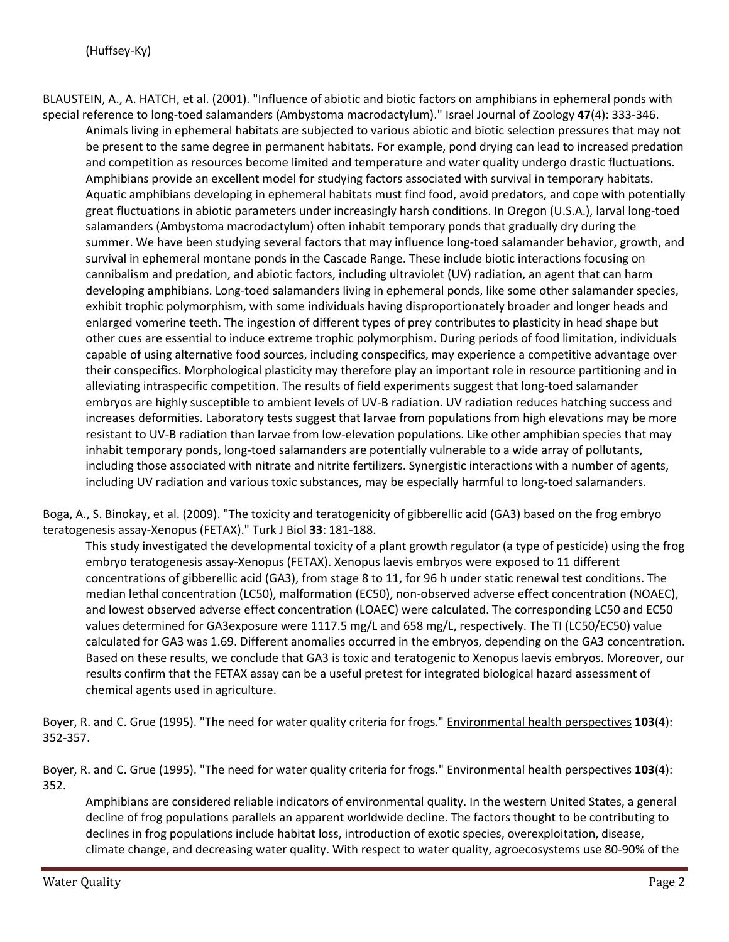BLAUSTEIN, A., A. HATCH, et al. (2001). "Influence of abiotic and biotic factors on amphibians in ephemeral ponds with special reference to long-toed salamanders (Ambystoma macrodactylum)." Israel Journal of Zoology **47**(4): 333-346. Animals living in ephemeral habitats are subjected to various abiotic and biotic selection pressures that may not be present to the same degree in permanent habitats. For example, pond drying can lead to increased predation and competition as resources become limited and temperature and water quality undergo drastic fluctuations. Amphibians provide an excellent model for studying factors associated with survival in temporary habitats. Aquatic amphibians developing in ephemeral habitats must find food, avoid predators, and cope with potentially great fluctuations in abiotic parameters under increasingly harsh conditions. In Oregon (U.S.A.), larval long-toed salamanders (Ambystoma macrodactylum) often inhabit temporary ponds that gradually dry during the summer. We have been studying several factors that may influence long-toed salamander behavior, growth, and survival in ephemeral montane ponds in the Cascade Range. These include biotic interactions focusing on cannibalism and predation, and abiotic factors, including ultraviolet (UV) radiation, an agent that can harm developing amphibians. Long-toed salamanders living in ephemeral ponds, like some other salamander species, exhibit trophic polymorphism, with some individuals having disproportionately broader and longer heads and enlarged vomerine teeth. The ingestion of different types of prey contributes to plasticity in head shape but other cues are essential to induce extreme trophic polymorphism. During periods of food limitation, individuals capable of using alternative food sources, including conspecifics, may experience a competitive advantage over their conspecifics. Morphological plasticity may therefore play an important role in resource partitioning and in alleviating intraspecific competition. The results of field experiments suggest that long-toed salamander embryos are highly susceptible to ambient levels of UV-B radiation. UV radiation reduces hatching success and increases deformities. Laboratory tests suggest that larvae from populations from high elevations may be more resistant to UV-B radiation than larvae from low-elevation populations. Like other amphibian species that may inhabit temporary ponds, long-toed salamanders are potentially vulnerable to a wide array of pollutants, including those associated with nitrate and nitrite fertilizers. Synergistic interactions with a number of agents, including UV radiation and various toxic substances, may be especially harmful to long-toed salamanders.

Boga, A., S. Binokay, et al. (2009). "The toxicity and teratogenicity of gibberellic acid (GA3) based on the frog embryo teratogenesis assay-Xenopus (FETAX)." Turk J Biol **33**: 181-188.

This study investigated the developmental toxicity of a plant growth regulator (a type of pesticide) using the frog embryo teratogenesis assay-Xenopus (FETAX). Xenopus laevis embryos were exposed to 11 different concentrations of gibberellic acid (GA3), from stage 8 to 11, for 96 h under static renewal test conditions. The median lethal concentration (LC50), malformation (EC50), non-observed adverse effect concentration (NOAEC), and lowest observed adverse effect concentration (LOAEC) were calculated. The corresponding LC50 and EC50 values determined for GA3exposure were 1117.5 mg/L and 658 mg/L, respectively. The TI (LC50/EC50) value calculated for GA3 was 1.69. Different anomalies occurred in the embryos, depending on the GA3 concentration. Based on these results, we conclude that GA3 is toxic and teratogenic to Xenopus laevis embryos. Moreover, our results confirm that the FETAX assay can be a useful pretest for integrated biological hazard assessment of chemical agents used in agriculture.

Boyer, R. and C. Grue (1995). "The need for water quality criteria for frogs." Environmental health perspectives **103**(4): 352-357.

Boyer, R. and C. Grue (1995). "The need for water quality criteria for frogs." Environmental health perspectives **103**(4): 352.

Amphibians are considered reliable indicators of environmental quality. In the western United States, a general decline of frog populations parallels an apparent worldwide decline. The factors thought to be contributing to declines in frog populations include habitat loss, introduction of exotic species, overexploitation, disease, climate change, and decreasing water quality. With respect to water quality, agroecosystems use 80-90% of the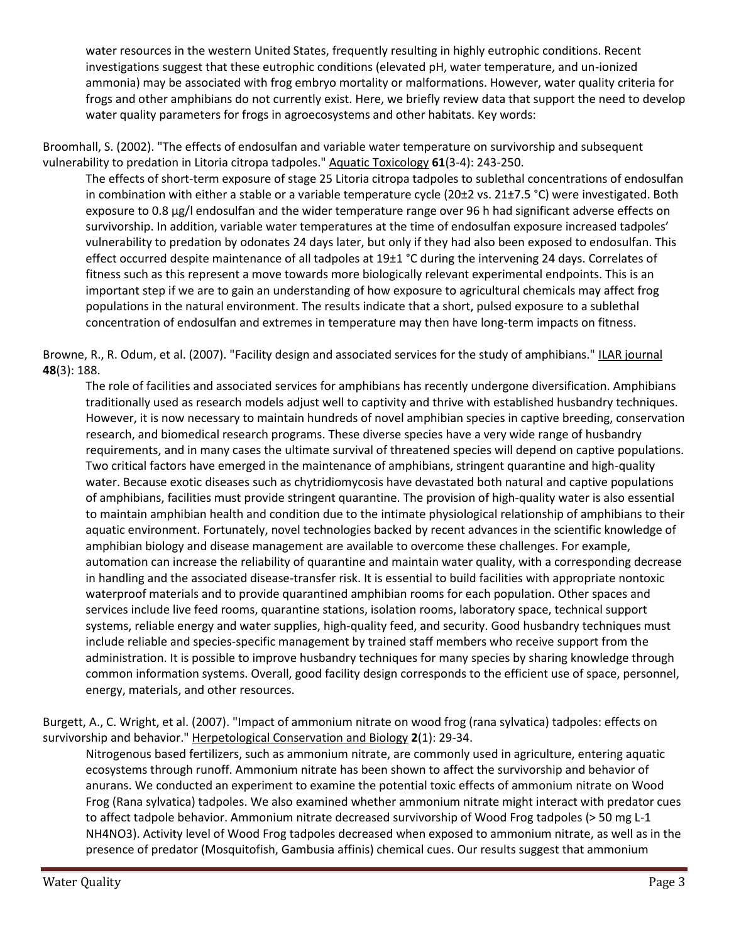water resources in the western United States, frequently resulting in highly eutrophic conditions. Recent investigations suggest that these eutrophic conditions (elevated pH, water temperature, and un-ionized ammonia) may be associated with frog embryo mortality or malformations. However, water quality criteria for frogs and other amphibians do not currently exist. Here, we briefly review data that support the need to develop water quality parameters for frogs in agroecosystems and other habitats. Key words:

Broomhall, S. (2002). "The effects of endosulfan and variable water temperature on survivorship and subsequent vulnerability to predation in Litoria citropa tadpoles." Aquatic Toxicology **61**(3-4): 243-250.

The effects of short-term exposure of stage 25 Litoria citropa tadpoles to sublethal concentrations of endosulfan in combination with either a stable or a variable temperature cycle (20±2 vs. 21±7.5 °C) were investigated. Both exposure to 0.8 μg/l endosulfan and the wider temperature range over 96 h had significant adverse effects on survivorship. In addition, variable water temperatures at the time of endosulfan exposure increased tadpoles' vulnerability to predation by odonates 24 days later, but only if they had also been exposed to endosulfan. This effect occurred despite maintenance of all tadpoles at 19±1 °C during the intervening 24 days. Correlates of fitness such as this represent a move towards more biologically relevant experimental endpoints. This is an important step if we are to gain an understanding of how exposure to agricultural chemicals may affect frog populations in the natural environment. The results indicate that a short, pulsed exposure to a sublethal concentration of endosulfan and extremes in temperature may then have long-term impacts on fitness.

Browne, R., R. Odum, et al. (2007). "Facility design and associated services for the study of amphibians." ILAR journal **48**(3): 188.

The role of facilities and associated services for amphibians has recently undergone diversification. Amphibians traditionally used as research models adjust well to captivity and thrive with established husbandry techniques. However, it is now necessary to maintain hundreds of novel amphibian species in captive breeding, conservation research, and biomedical research programs. These diverse species have a very wide range of husbandry requirements, and in many cases the ultimate survival of threatened species will depend on captive populations. Two critical factors have emerged in the maintenance of amphibians, stringent quarantine and high-quality water. Because exotic diseases such as chytridiomycosis have devastated both natural and captive populations of amphibians, facilities must provide stringent quarantine. The provision of high-quality water is also essential to maintain amphibian health and condition due to the intimate physiological relationship of amphibians to their aquatic environment. Fortunately, novel technologies backed by recent advances in the scientific knowledge of amphibian biology and disease management are available to overcome these challenges. For example, automation can increase the reliability of quarantine and maintain water quality, with a corresponding decrease in handling and the associated disease-transfer risk. It is essential to build facilities with appropriate nontoxic waterproof materials and to provide quarantined amphibian rooms for each population. Other spaces and services include live feed rooms, quarantine stations, isolation rooms, laboratory space, technical support systems, reliable energy and water supplies, high-quality feed, and security. Good husbandry techniques must include reliable and species-specific management by trained staff members who receive support from the administration. It is possible to improve husbandry techniques for many species by sharing knowledge through common information systems. Overall, good facility design corresponds to the efficient use of space, personnel, energy, materials, and other resources.

Burgett, A., C. Wright, et al. (2007). "Impact of ammonium nitrate on wood frog (rana sylvatica) tadpoles: effects on survivorship and behavior." Herpetological Conservation and Biology **2**(1): 29-34.

Nitrogenous based fertilizers, such as ammonium nitrate, are commonly used in agriculture, entering aquatic ecosystems through runoff. Ammonium nitrate has been shown to affect the survivorship and behavior of anurans. We conducted an experiment to examine the potential toxic effects of ammonium nitrate on Wood Frog (Rana sylvatica) tadpoles. We also examined whether ammonium nitrate might interact with predator cues to affect tadpole behavior. Ammonium nitrate decreased survivorship of Wood Frog tadpoles (> 50 mg L-1 NH4NO3). Activity level of Wood Frog tadpoles decreased when exposed to ammonium nitrate, as well as in the presence of predator (Mosquitofish, Gambusia affinis) chemical cues. Our results suggest that ammonium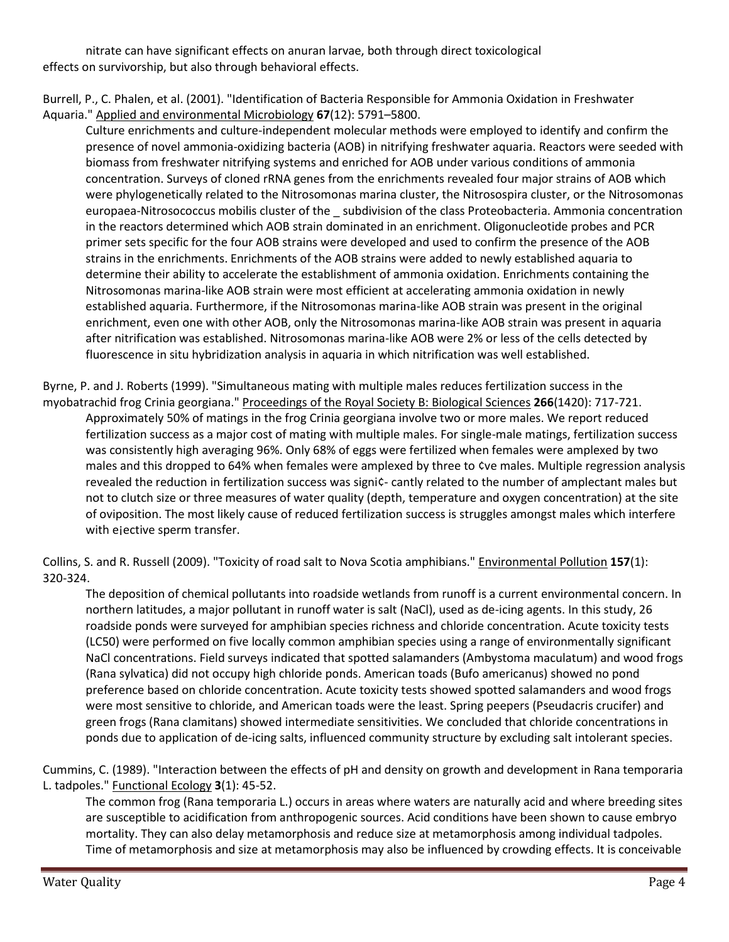nitrate can have significant effects on anuran larvae, both through direct toxicological effects on survivorship, but also through behavioral effects.

Burrell, P., C. Phalen, et al. (2001). "Identification of Bacteria Responsible for Ammonia Oxidation in Freshwater Aquaria." Applied and environmental Microbiology **67**(12): 5791–5800.

Culture enrichments and culture-independent molecular methods were employed to identify and confirm the presence of novel ammonia-oxidizing bacteria (AOB) in nitrifying freshwater aquaria. Reactors were seeded with biomass from freshwater nitrifying systems and enriched for AOB under various conditions of ammonia concentration. Surveys of cloned rRNA genes from the enrichments revealed four major strains of AOB which were phylogenetically related to the Nitrosomonas marina cluster, the Nitrosospira cluster, or the Nitrosomonas europaea-Nitrosococcus mobilis cluster of the \_ subdivision of the class Proteobacteria. Ammonia concentration in the reactors determined which AOB strain dominated in an enrichment. Oligonucleotide probes and PCR primer sets specific for the four AOB strains were developed and used to confirm the presence of the AOB strains in the enrichments. Enrichments of the AOB strains were added to newly established aquaria to determine their ability to accelerate the establishment of ammonia oxidation. Enrichments containing the Nitrosomonas marina-like AOB strain were most efficient at accelerating ammonia oxidation in newly established aquaria. Furthermore, if the Nitrosomonas marina-like AOB strain was present in the original enrichment, even one with other AOB, only the Nitrosomonas marina-like AOB strain was present in aquaria after nitrification was established. Nitrosomonas marina-like AOB were 2% or less of the cells detected by fluorescence in situ hybridization analysis in aquaria in which nitrification was well established.

Byrne, P. and J. Roberts (1999). "Simultaneous mating with multiple males reduces fertilization success in the myobatrachid frog Crinia georgiana." Proceedings of the Royal Society B: Biological Sciences **266**(1420): 717-721. Approximately 50% of matings in the frog Crinia georgiana involve two or more males. We report reduced fertilization success as a major cost of mating with multiple males. For single-male matings, fertilization success was consistently high averaging 96%. Only 68% of eggs were fertilized when females were amplexed by two males and this dropped to 64% when females were amplexed by three to ¢ve males. Multiple regression analysis revealed the reduction in fertilization success was signi¢- cantly related to the number of amplectant males but not to clutch size or three measures of water quality (depth, temperature and oxygen concentration) at the site of oviposition. The most likely cause of reduced fertilization success is struggles amongst males which interfere

Collins, S. and R. Russell (2009). "Toxicity of road salt to Nova Scotia amphibians." Environmental Pollution **157**(1): 320-324.

The deposition of chemical pollutants into roadside wetlands from runoff is a current environmental concern. In northern latitudes, a major pollutant in runoff water is salt (NaCl), used as de-icing agents. In this study, 26 roadside ponds were surveyed for amphibian species richness and chloride concentration. Acute toxicity tests (LC50) were performed on five locally common amphibian species using a range of environmentally significant NaCl concentrations. Field surveys indicated that spotted salamanders (Ambystoma maculatum) and wood frogs (Rana sylvatica) did not occupy high chloride ponds. American toads (Bufo americanus) showed no pond preference based on chloride concentration. Acute toxicity tests showed spotted salamanders and wood frogs were most sensitive to chloride, and American toads were the least. Spring peepers (Pseudacris crucifer) and green frogs (Rana clamitans) showed intermediate sensitivities. We concluded that chloride concentrations in ponds due to application of de-icing salts, influenced community structure by excluding salt intolerant species.

Cummins, C. (1989). "Interaction between the effects of pH and density on growth and development in Rana temporaria L. tadpoles." Functional Ecology **3**(1): 45-52.

The common frog (Rana temporaria L.) occurs in areas where waters are naturally acid and where breeding sites are susceptible to acidification from anthropogenic sources. Acid conditions have been shown to cause embryo mortality. They can also delay metamorphosis and reduce size at metamorphosis among individual tadpoles. Time of metamorphosis and size at metamorphosis may also be influenced by crowding effects. It is conceivable

with ejective sperm transfer.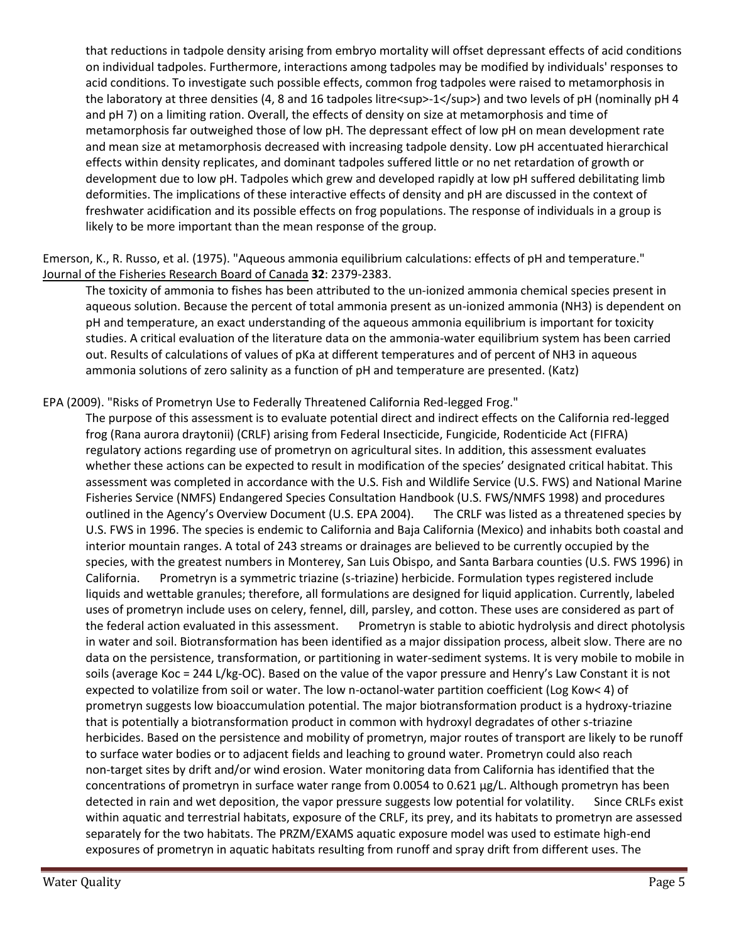that reductions in tadpole density arising from embryo mortality will offset depressant effects of acid conditions on individual tadpoles. Furthermore, interactions among tadpoles may be modified by individuals' responses to acid conditions. To investigate such possible effects, common frog tadpoles were raised to metamorphosis in the laboratory at three densities (4, 8 and 16 tadpoles litre<sup>-1</sup>) and two levels of pH (nominally pH 4 and pH 7) on a limiting ration. Overall, the effects of density on size at metamorphosis and time of metamorphosis far outweighed those of low pH. The depressant effect of low pH on mean development rate and mean size at metamorphosis decreased with increasing tadpole density. Low pH accentuated hierarchical effects within density replicates, and dominant tadpoles suffered little or no net retardation of growth or development due to low pH. Tadpoles which grew and developed rapidly at low pH suffered debilitating limb deformities. The implications of these interactive effects of density and pH are discussed in the context of freshwater acidification and its possible effects on frog populations. The response of individuals in a group is likely to be more important than the mean response of the group.

Emerson, K., R. Russo, et al. (1975). "Aqueous ammonia equilibrium calculations: effects of pH and temperature." Journal of the Fisheries Research Board of Canada **32**: 2379-2383.

The toxicity of ammonia to fishes has been attributed to the un-ionized ammonia chemical species present in aqueous solution. Because the percent of total ammonia present as un-ionized ammonia (NH3) is dependent on pH and temperature, an exact understanding of the aqueous ammonia equilibrium is important for toxicity studies. A critical evaluation of the literature data on the ammonia-water equilibrium system has been carried out. Results of calculations of values of pKa at different temperatures and of percent of NH3 in aqueous ammonia solutions of zero salinity as a function of pH and temperature are presented. (Katz)

EPA (2009). "Risks of Prometryn Use to Federally Threatened California Red-legged Frog."

The purpose of this assessment is to evaluate potential direct and indirect effects on the California red-legged frog (Rana aurora draytonii) (CRLF) arising from Federal Insecticide, Fungicide, Rodenticide Act (FIFRA) regulatory actions regarding use of prometryn on agricultural sites. In addition, this assessment evaluates whether these actions can be expected to result in modification of the species' designated critical habitat. This assessment was completed in accordance with the U.S. Fish and Wildlife Service (U.S. FWS) and National Marine Fisheries Service (NMFS) Endangered Species Consultation Handbook (U.S. FWS/NMFS 1998) and procedures outlined in the Agency's Overview Document (U.S. EPA 2004). The CRLF was listed as a threatened species by U.S. FWS in 1996. The species is endemic to California and Baja California (Mexico) and inhabits both coastal and interior mountain ranges. A total of 243 streams or drainages are believed to be currently occupied by the species, with the greatest numbers in Monterey, San Luis Obispo, and Santa Barbara counties (U.S. FWS 1996) in California. Prometryn is a symmetric triazine (s-triazine) herbicide. Formulation types registered include liquids and wettable granules; therefore, all formulations are designed for liquid application. Currently, labeled uses of prometryn include uses on celery, fennel, dill, parsley, and cotton. These uses are considered as part of the federal action evaluated in this assessment. Prometryn is stable to abiotic hydrolysis and direct photolysis in water and soil. Biotransformation has been identified as a major dissipation process, albeit slow. There are no data on the persistence, transformation, or partitioning in water-sediment systems. It is very mobile to mobile in soils (average Koc = 244 L/kg-OC). Based on the value of the vapor pressure and Henry's Law Constant it is not expected to volatilize from soil or water. The low n-octanol-water partition coefficient (Log Kow< 4) of prometryn suggests low bioaccumulation potential. The major biotransformation product is a hydroxy-triazine that is potentially a biotransformation product in common with hydroxyl degradates of other s-triazine herbicides. Based on the persistence and mobility of prometryn, major routes of transport are likely to be runoff to surface water bodies or to adjacent fields and leaching to ground water. Prometryn could also reach non-target sites by drift and/or wind erosion. Water monitoring data from California has identified that the concentrations of prometryn in surface water range from 0.0054 to 0.621 μg/L. Although prometryn has been detected in rain and wet deposition, the vapor pressure suggests low potential for volatility. Since CRLFs exist within aquatic and terrestrial habitats, exposure of the CRLF, its prey, and its habitats to prometryn are assessed separately for the two habitats. The PRZM/EXAMS aquatic exposure model was used to estimate high-end exposures of prometryn in aquatic habitats resulting from runoff and spray drift from different uses. The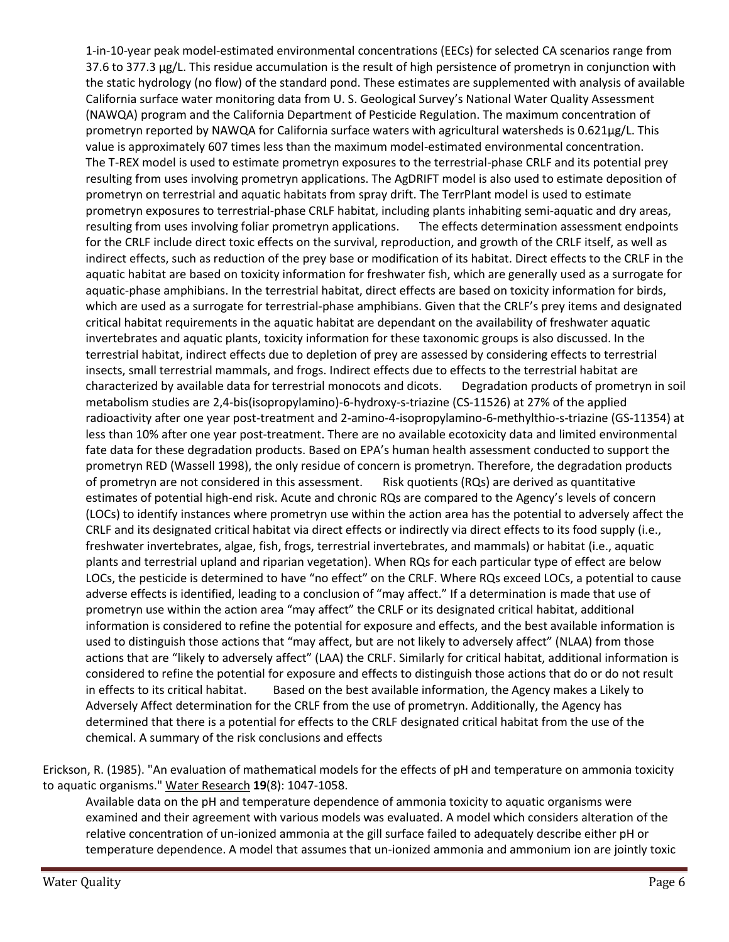1-in-10-year peak model-estimated environmental concentrations (EECs) for selected CA scenarios range from 37.6 to 377.3 μg/L. This residue accumulation is the result of high persistence of prometryn in conjunction with the static hydrology (no flow) of the standard pond. These estimates are supplemented with analysis of available California surface water monitoring data from U. S. Geological Survey's National Water Quality Assessment (NAWQA) program and the California Department of Pesticide Regulation. The maximum concentration of prometryn reported by NAWQA for California surface waters with agricultural watersheds is 0.621μg/L. This value is approximately 607 times less than the maximum model-estimated environmental concentration. The T-REX model is used to estimate prometryn exposures to the terrestrial-phase CRLF and its potential prey resulting from uses involving prometryn applications. The AgDRIFT model is also used to estimate deposition of prometryn on terrestrial and aquatic habitats from spray drift. The TerrPlant model is used to estimate prometryn exposures to terrestrial-phase CRLF habitat, including plants inhabiting semi-aquatic and dry areas, resulting from uses involving foliar prometryn applications. The effects determination assessment endpoints for the CRLF include direct toxic effects on the survival, reproduction, and growth of the CRLF itself, as well as indirect effects, such as reduction of the prey base or modification of its habitat. Direct effects to the CRLF in the aquatic habitat are based on toxicity information for freshwater fish, which are generally used as a surrogate for aquatic-phase amphibians. In the terrestrial habitat, direct effects are based on toxicity information for birds, which are used as a surrogate for terrestrial-phase amphibians. Given that the CRLF's prey items and designated critical habitat requirements in the aquatic habitat are dependant on the availability of freshwater aquatic invertebrates and aquatic plants, toxicity information for these taxonomic groups is also discussed. In the terrestrial habitat, indirect effects due to depletion of prey are assessed by considering effects to terrestrial insects, small terrestrial mammals, and frogs. Indirect effects due to effects to the terrestrial habitat are characterized by available data for terrestrial monocots and dicots. Degradation products of prometryn in soil metabolism studies are 2,4-bis(isopropylamino)-6-hydroxy-s-triazine (CS-11526) at 27% of the applied radioactivity after one year post-treatment and 2-amino-4-isopropylamino-6-methylthio-s-triazine (GS-11354) at less than 10% after one year post-treatment. There are no available ecotoxicity data and limited environmental fate data for these degradation products. Based on EPA's human health assessment conducted to support the prometryn RED (Wassell 1998), the only residue of concern is prometryn. Therefore, the degradation products of prometryn are not considered in this assessment. Risk quotients (RQs) are derived as quantitative estimates of potential high-end risk. Acute and chronic RQs are compared to the Agency's levels of concern (LOCs) to identify instances where prometryn use within the action area has the potential to adversely affect the CRLF and its designated critical habitat via direct effects or indirectly via direct effects to its food supply (i.e., freshwater invertebrates, algae, fish, frogs, terrestrial invertebrates, and mammals) or habitat (i.e., aquatic plants and terrestrial upland and riparian vegetation). When RQs for each particular type of effect are below LOCs, the pesticide is determined to have "no effect" on the CRLF. Where RQs exceed LOCs, a potential to cause adverse effects is identified, leading to a conclusion of "may affect." If a determination is made that use of prometryn use within the action area "may affect" the CRLF or its designated critical habitat, additional information is considered to refine the potential for exposure and effects, and the best available information is used to distinguish those actions that "may affect, but are not likely to adversely affect" (NLAA) from those actions that are "likely to adversely affect" (LAA) the CRLF. Similarly for critical habitat, additional information is considered to refine the potential for exposure and effects to distinguish those actions that do or do not result in effects to its critical habitat. Based on the best available information, the Agency makes a Likely to Adversely Affect determination for the CRLF from the use of prometryn. Additionally, the Agency has determined that there is a potential for effects to the CRLF designated critical habitat from the use of the chemical. A summary of the risk conclusions and effects

Erickson, R. (1985). "An evaluation of mathematical models for the effects of pH and temperature on ammonia toxicity to aquatic organisms." Water Research **19**(8): 1047-1058.

Available data on the pH and temperature dependence of ammonia toxicity to aquatic organisms were examined and their agreement with various models was evaluated. A model which considers alteration of the relative concentration of un-ionized ammonia at the gill surface failed to adequately describe either pH or temperature dependence. A model that assumes that un-ionized ammonia and ammonium ion are jointly toxic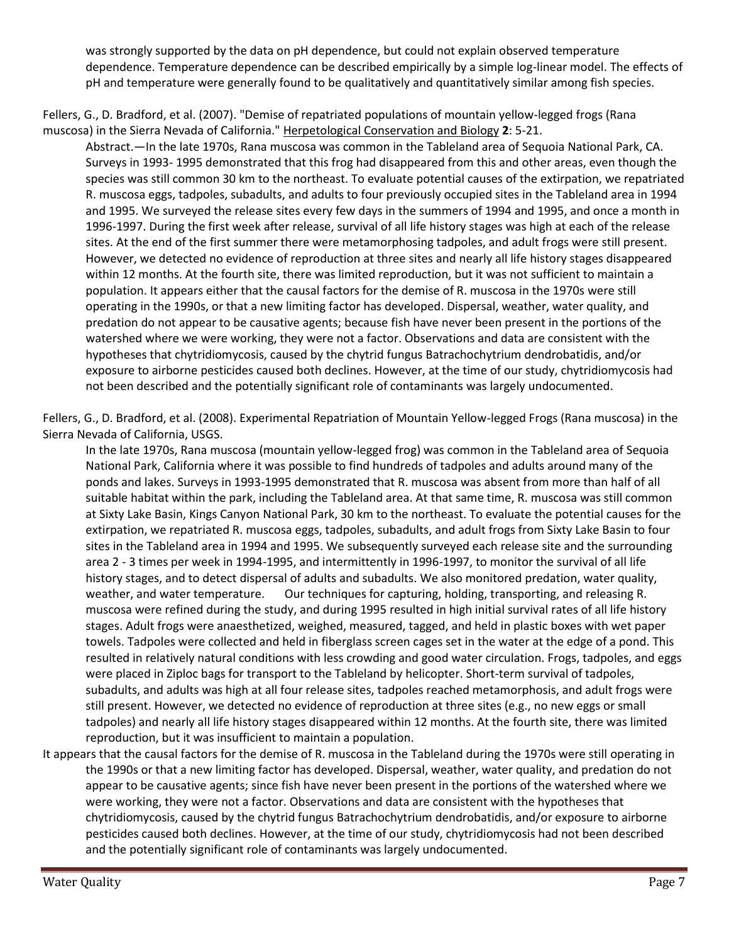was strongly supported by the data on pH dependence, but could not explain observed temperature dependence. Temperature dependence can be described empirically by a simple log-linear model. The effects of pH and temperature were generally found to be qualitatively and quantitatively similar among fish species.

Fellers, G., D. Bradford, et al. (2007). "Demise of repatriated populations of mountain yellow-legged frogs (Rana muscosa) in the Sierra Nevada of California." Herpetological Conservation and Biology **2**: 5-21.

Abstract.—In the late 1970s, Rana muscosa was common in the Tableland area of Sequoia National Park, CA. Surveys in 1993- 1995 demonstrated that this frog had disappeared from this and other areas, even though the species was still common 30 km to the northeast. To evaluate potential causes of the extirpation, we repatriated R. muscosa eggs, tadpoles, subadults, and adults to four previously occupied sites in the Tableland area in 1994 and 1995. We surveyed the release sites every few days in the summers of 1994 and 1995, and once a month in 1996-1997. During the first week after release, survival of all life history stages was high at each of the release sites. At the end of the first summer there were metamorphosing tadpoles, and adult frogs were still present. However, we detected no evidence of reproduction at three sites and nearly all life history stages disappeared within 12 months. At the fourth site, there was limited reproduction, but it was not sufficient to maintain a population. It appears either that the causal factors for the demise of R. muscosa in the 1970s were still operating in the 1990s, or that a new limiting factor has developed. Dispersal, weather, water quality, and predation do not appear to be causative agents; because fish have never been present in the portions of the watershed where we were working, they were not a factor. Observations and data are consistent with the hypotheses that chytridiomycosis, caused by the chytrid fungus Batrachochytrium dendrobatidis, and/or exposure to airborne pesticides caused both declines. However, at the time of our study, chytridiomycosis had not been described and the potentially significant role of contaminants was largely undocumented.

Fellers, G., D. Bradford, et al. (2008). Experimental Repatriation of Mountain Yellow-legged Frogs (Rana muscosa) in the Sierra Nevada of California, USGS.

In the late 1970s, Rana muscosa (mountain yellow-legged frog) was common in the Tableland area of Sequoia National Park, California where it was possible to find hundreds of tadpoles and adults around many of the ponds and lakes. Surveys in 1993-1995 demonstrated that R. muscosa was absent from more than half of all suitable habitat within the park, including the Tableland area. At that same time, R. muscosa was still common at Sixty Lake Basin, Kings Canyon National Park, 30 km to the northeast. To evaluate the potential causes for the extirpation, we repatriated R. muscosa eggs, tadpoles, subadults, and adult frogs from Sixty Lake Basin to four sites in the Tableland area in 1994 and 1995. We subsequently surveyed each release site and the surrounding area 2 - 3 times per week in 1994-1995, and intermittently in 1996-1997, to monitor the survival of all life history stages, and to detect dispersal of adults and subadults. We also monitored predation, water quality, weather, and water temperature. Our techniques for capturing, holding, transporting, and releasing R. muscosa were refined during the study, and during 1995 resulted in high initial survival rates of all life history stages. Adult frogs were anaesthetized, weighed, measured, tagged, and held in plastic boxes with wet paper towels. Tadpoles were collected and held in fiberglass screen cages set in the water at the edge of a pond. This resulted in relatively natural conditions with less crowding and good water circulation. Frogs, tadpoles, and eggs were placed in Ziploc bags for transport to the Tableland by helicopter. Short-term survival of tadpoles, subadults, and adults was high at all four release sites, tadpoles reached metamorphosis, and adult frogs were still present. However, we detected no evidence of reproduction at three sites (e.g., no new eggs or small tadpoles) and nearly all life history stages disappeared within 12 months. At the fourth site, there was limited reproduction, but it was insufficient to maintain a population.

It appears that the causal factors for the demise of R. muscosa in the Tableland during the 1970s were still operating in the 1990s or that a new limiting factor has developed. Dispersal, weather, water quality, and predation do not appear to be causative agents; since fish have never been present in the portions of the watershed where we were working, they were not a factor. Observations and data are consistent with the hypotheses that chytridiomycosis, caused by the chytrid fungus Batrachochytrium dendrobatidis, and/or exposure to airborne pesticides caused both declines. However, at the time of our study, chytridiomycosis had not been described and the potentially significant role of contaminants was largely undocumented.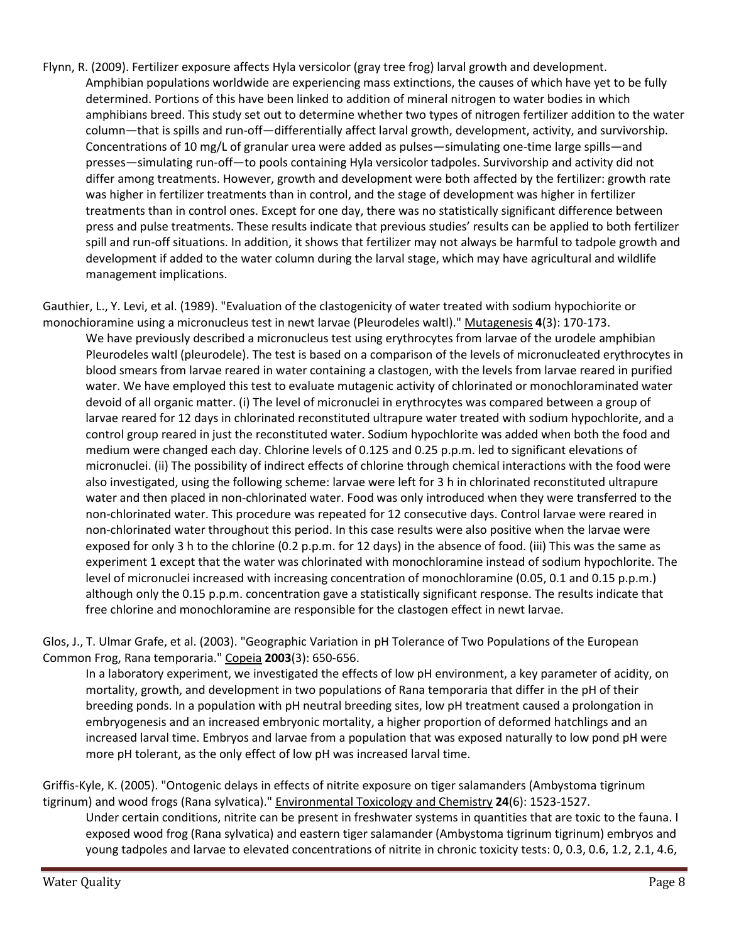Flynn, R. (2009). Fertilizer exposure affects Hyla versicolor (gray tree frog) larval growth and development. Amphibian populations worldwide are experiencing mass extinctions, the causes of which have yet to be fully determined. Portions of this have been linked to addition of mineral nitrogen to water bodies in which amphibians breed. This study set out to determine whether two types of nitrogen fertilizer addition to the water column—that is spills and run-off—differentially affect larval growth, development, activity, and survivorship. Concentrations of 10 mg/L of granular urea were added as pulses—simulating one-time large spills—and presses—simulating run-off—to pools containing Hyla versicolor tadpoles. Survivorship and activity did not differ among treatments. However, growth and development were both affected by the fertilizer: growth rate was higher in fertilizer treatments than in control, and the stage of development was higher in fertilizer treatments than in control ones. Except for one day, there was no statistically significant difference between press and pulse treatments. These results indicate that previous studies' results can be applied to both fertilizer spill and run-off situations. In addition, it shows that fertilizer may not always be harmful to tadpole growth and development if added to the water column during the larval stage, which may have agricultural and wildlife management implications.

Gauthier, L., Y. Levi, et al. (1989). "Evaluation of the clastogenicity of water treated with sodium hypochiorite or monochioramine using a micronucleus test in newt larvae (Pleurodeles waltl)." Mutagenesis **4**(3): 170-173.

We have previously described a micronucleus test using erythrocytes from larvae of the urodele amphibian Pleurodeles waltl (pleurodele). The test is based on a comparison of the levels of micronucleated erythrocytes in blood smears from larvae reared in water containing a clastogen, with the levels from larvae reared in purified water. We have employed this test to evaluate mutagenic activity of chlorinated or monochloraminated water devoid of all organic matter. (i) The level of micronuclei in erythrocytes was compared between a group of larvae reared for 12 days in chlorinated reconstituted ultrapure water treated with sodium hypochlorite, and a control group reared in just the reconstituted water. Sodium hypochlorite was added when both the food and medium were changed each day. Chlorine levels of 0.125 and 0.25 p.p.m. led to significant elevations of micronuclei. (ii) The possibility of indirect effects of chlorine through chemical interactions with the food were also investigated, using the following scheme: larvae were left for 3 h in chlorinated reconstituted ultrapure water and then placed in non-chlorinated water. Food was only introduced when they were transferred to the non-chlorinated water. This procedure was repeated for 12 consecutive days. Control larvae were reared in non-chlorinated water throughout this period. In this case results were also positive when the larvae were exposed for only 3 h to the chlorine (0.2 p.p.m. for 12 days) in the absence of food. (iii) This was the same as experiment 1 except that the water was chlorinated with monochloramine instead of sodium hypochlorite. The level of micronuclei increased with increasing concentration of monochloramine (0.05, 0.1 and 0.15 p.p.m.) although only the 0.15 p.p.m. concentration gave a statistically significant response. The results indicate that free chlorine and monochloramine are responsible for the clastogen effect in newt larvae.

Glos, J., T. Ulmar Grafe, et al. (2003). "Geographic Variation in pH Tolerance of Two Populations of the European Common Frog, Rana temporaria." Copeia **2003**(3): 650-656.

In a laboratory experiment, we investigated the effects of low pH environment, a key parameter of acidity, on mortality, growth, and development in two populations of Rana temporaria that differ in the pH of their breeding ponds. In a population with pH neutral breeding sites, low pH treatment caused a prolongation in embryogenesis and an increased embryonic mortality, a higher proportion of deformed hatchlings and an increased larval time. Embryos and larvae from a population that was exposed naturally to low pond pH were more pH tolerant, as the only effect of low pH was increased larval time.

Griffis-Kyle, K. (2005). "Ontogenic delays in effects of nitrite exposure on tiger salamanders (Ambystoma tigrinum tigrinum) and wood frogs (Rana sylvatica)." Environmental Toxicology and Chemistry **24**(6): 1523-1527.

Under certain conditions, nitrite can be present in freshwater systems in quantities that are toxic to the fauna. I exposed wood frog (Rana sylvatica) and eastern tiger salamander (Ambystoma tigrinum tigrinum) embryos and young tadpoles and larvae to elevated concentrations of nitrite in chronic toxicity tests: 0, 0.3, 0.6, 1.2, 2.1, 4.6,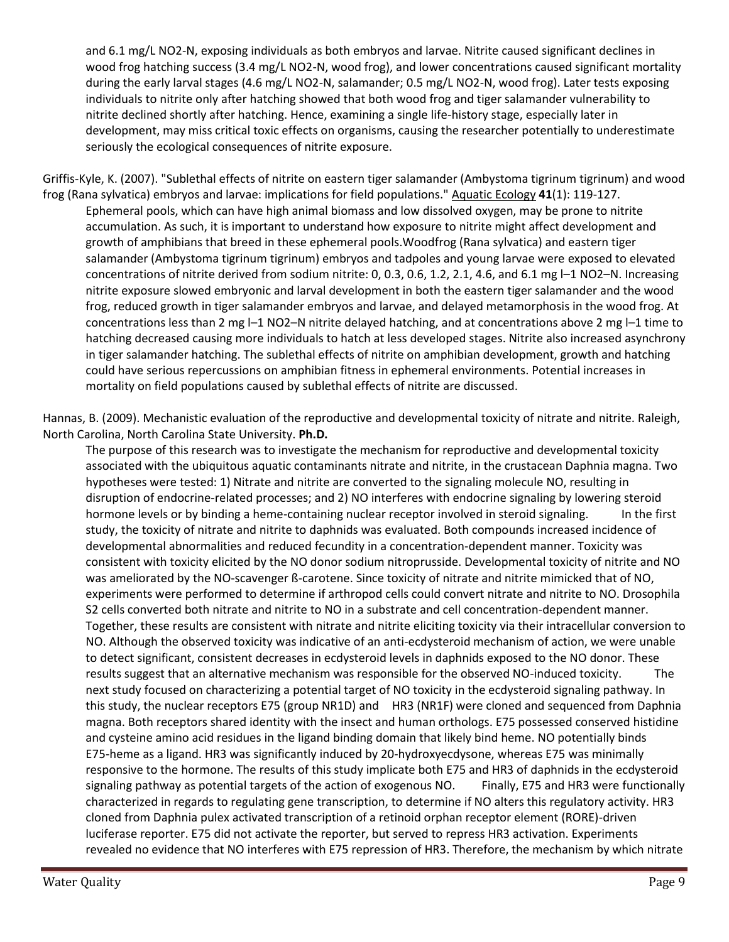and 6.1 mg/L NO2-N, exposing individuals as both embryos and larvae. Nitrite caused significant declines in wood frog hatching success (3.4 mg/L NO2-N, wood frog), and lower concentrations caused significant mortality during the early larval stages (4.6 mg/L NO2-N, salamander; 0.5 mg/L NO2-N, wood frog). Later tests exposing individuals to nitrite only after hatching showed that both wood frog and tiger salamander vulnerability to nitrite declined shortly after hatching. Hence, examining a single life-history stage, especially later in development, may miss critical toxic effects on organisms, causing the researcher potentially to underestimate seriously the ecological consequences of nitrite exposure.

Griffis-Kyle, K. (2007). "Sublethal effects of nitrite on eastern tiger salamander (Ambystoma tigrinum tigrinum) and wood frog (Rana sylvatica) embryos and larvae: implications for field populations." Aquatic Ecology **41**(1): 119-127. Ephemeral pools, which can have high animal biomass and low dissolved oxygen, may be prone to nitrite accumulation. As such, it is important to understand how exposure to nitrite might affect development and growth of amphibians that breed in these ephemeral pools.Woodfrog (Rana sylvatica) and eastern tiger salamander (Ambystoma tigrinum tigrinum) embryos and tadpoles and young larvae were exposed to elevated concentrations of nitrite derived from sodium nitrite: 0, 0.3, 0.6, 1.2, 2.1, 4.6, and 6.1 mg l–1 NO2–N. Increasing nitrite exposure slowed embryonic and larval development in both the eastern tiger salamander and the wood frog, reduced growth in tiger salamander embryos and larvae, and delayed metamorphosis in the wood frog. At concentrations less than 2 mg l–1 NO2–N nitrite delayed hatching, and at concentrations above 2 mg l–1 time to hatching decreased causing more individuals to hatch at less developed stages. Nitrite also increased asynchrony in tiger salamander hatching. The sublethal effects of nitrite on amphibian development, growth and hatching could have serious repercussions on amphibian fitness in ephemeral environments. Potential increases in mortality on field populations caused by sublethal effects of nitrite are discussed.

Hannas, B. (2009). Mechanistic evaluation of the reproductive and developmental toxicity of nitrate and nitrite. Raleigh, North Carolina, North Carolina State University. **Ph.D.**

The purpose of this research was to investigate the mechanism for reproductive and developmental toxicity associated with the ubiquitous aquatic contaminants nitrate and nitrite, in the crustacean Daphnia magna. Two hypotheses were tested: 1) Nitrate and nitrite are converted to the signaling molecule NO, resulting in disruption of endocrine-related processes; and 2) NO interferes with endocrine signaling by lowering steroid hormone levels or by binding a heme-containing nuclear receptor involved in steroid signaling. In the first study, the toxicity of nitrate and nitrite to daphnids was evaluated. Both compounds increased incidence of developmental abnormalities and reduced fecundity in a concentration-dependent manner. Toxicity was consistent with toxicity elicited by the NO donor sodium nitroprusside. Developmental toxicity of nitrite and NO was ameliorated by the NO-scavenger ß-carotene. Since toxicity of nitrate and nitrite mimicked that of NO, experiments were performed to determine if arthropod cells could convert nitrate and nitrite to NO. Drosophila S2 cells converted both nitrate and nitrite to NO in a substrate and cell concentration-dependent manner. Together, these results are consistent with nitrate and nitrite eliciting toxicity via their intracellular conversion to NO. Although the observed toxicity was indicative of an anti-ecdysteroid mechanism of action, we were unable to detect significant, consistent decreases in ecdysteroid levels in daphnids exposed to the NO donor. These results suggest that an alternative mechanism was responsible for the observed NO-induced toxicity. The next study focused on characterizing a potential target of NO toxicity in the ecdysteroid signaling pathway. In this study, the nuclear receptors E75 (group NR1D) and HR3 (NR1F) were cloned and sequenced from Daphnia magna. Both receptors shared identity with the insect and human orthologs. E75 possessed conserved histidine and cysteine amino acid residues in the ligand binding domain that likely bind heme. NO potentially binds E75-heme as a ligand. HR3 was significantly induced by 20-hydroxyecdysone, whereas E75 was minimally responsive to the hormone. The results of this study implicate both E75 and HR3 of daphnids in the ecdysteroid signaling pathway as potential targets of the action of exogenous NO. Finally, E75 and HR3 were functionally characterized in regards to regulating gene transcription, to determine if NO alters this regulatory activity. HR3 cloned from Daphnia pulex activated transcription of a retinoid orphan receptor element (RORE)-driven luciferase reporter. E75 did not activate the reporter, but served to repress HR3 activation. Experiments revealed no evidence that NO interferes with E75 repression of HR3. Therefore, the mechanism by which nitrate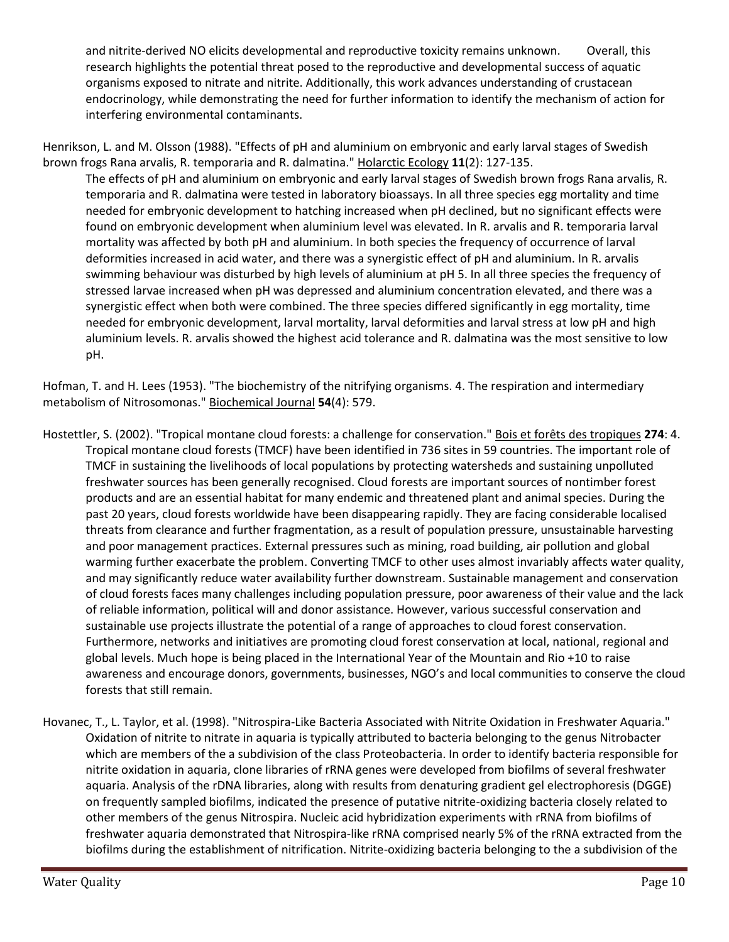and nitrite-derived NO elicits developmental and reproductive toxicity remains unknown. Overall, this research highlights the potential threat posed to the reproductive and developmental success of aquatic organisms exposed to nitrate and nitrite. Additionally, this work advances understanding of crustacean endocrinology, while demonstrating the need for further information to identify the mechanism of action for interfering environmental contaminants.

Henrikson, L. and M. Olsson (1988). "Effects of pH and aluminium on embryonic and early larval stages of Swedish brown frogs Rana arvalis, R. temporaria and R. dalmatina." Holarctic Ecology **11**(2): 127-135.

The effects of pH and aluminium on embryonic and early larval stages of Swedish brown frogs Rana arvalis, R. temporaria and R. dalmatina were tested in laboratory bioassays. In all three species egg mortality and time needed for embryonic development to hatching increased when pH declined, but no significant effects were found on embryonic development when aluminium level was elevated. In R. arvalis and R. temporaria larval mortality was affected by both pH and aluminium. In both species the frequency of occurrence of larval deformities increased in acid water, and there was a synergistic effect of pH and aluminium. In R. arvalis swimming behaviour was disturbed by high levels of aluminium at pH 5. In all three species the frequency of stressed larvae increased when pH was depressed and aluminium concentration elevated, and there was a synergistic effect when both were combined. The three species differed significantly in egg mortality, time needed for embryonic development, larval mortality, larval deformities and larval stress at low pH and high aluminium levels. R. arvalis showed the highest acid tolerance and R. dalmatina was the most sensitive to low pH.

Hofman, T. and H. Lees (1953). "The biochemistry of the nitrifying organisms. 4. The respiration and intermediary metabolism of Nitrosomonas." Biochemical Journal **54**(4): 579.

- Hostettler, S. (2002). "Tropical montane cloud forests: a challenge for conservation." Bois et forêts des tropiques **274**: 4. Tropical montane cloud forests (TMCF) have been identified in 736 sites in 59 countries. The important role of TMCF in sustaining the livelihoods of local populations by protecting watersheds and sustaining unpolluted freshwater sources has been generally recognised. Cloud forests are important sources of nontimber forest products and are an essential habitat for many endemic and threatened plant and animal species. During the past 20 years, cloud forests worldwide have been disappearing rapidly. They are facing considerable localised threats from clearance and further fragmentation, as a result of population pressure, unsustainable harvesting and poor management practices. External pressures such as mining, road building, air pollution and global warming further exacerbate the problem. Converting TMCF to other uses almost invariably affects water quality, and may significantly reduce water availability further downstream. Sustainable management and conservation of cloud forests faces many challenges including population pressure, poor awareness of their value and the lack of reliable information, political will and donor assistance. However, various successful conservation and sustainable use projects illustrate the potential of a range of approaches to cloud forest conservation. Furthermore, networks and initiatives are promoting cloud forest conservation at local, national, regional and global levels. Much hope is being placed in the International Year of the Mountain and Rio +10 to raise awareness and encourage donors, governments, businesses, NGO's and local communities to conserve the cloud forests that still remain.
- Hovanec, T., L. Taylor, et al. (1998). "Nitrospira-Like Bacteria Associated with Nitrite Oxidation in Freshwater Aquaria." Oxidation of nitrite to nitrate in aquaria is typically attributed to bacteria belonging to the genus Nitrobacter which are members of the a subdivision of the class Proteobacteria. In order to identify bacteria responsible for nitrite oxidation in aquaria, clone libraries of rRNA genes were developed from biofilms of several freshwater aquaria. Analysis of the rDNA libraries, along with results from denaturing gradient gel electrophoresis (DGGE) on frequently sampled biofilms, indicated the presence of putative nitrite-oxidizing bacteria closely related to other members of the genus Nitrospira. Nucleic acid hybridization experiments with rRNA from biofilms of freshwater aquaria demonstrated that Nitrospira-like rRNA comprised nearly 5% of the rRNA extracted from the biofilms during the establishment of nitrification. Nitrite-oxidizing bacteria belonging to the a subdivision of the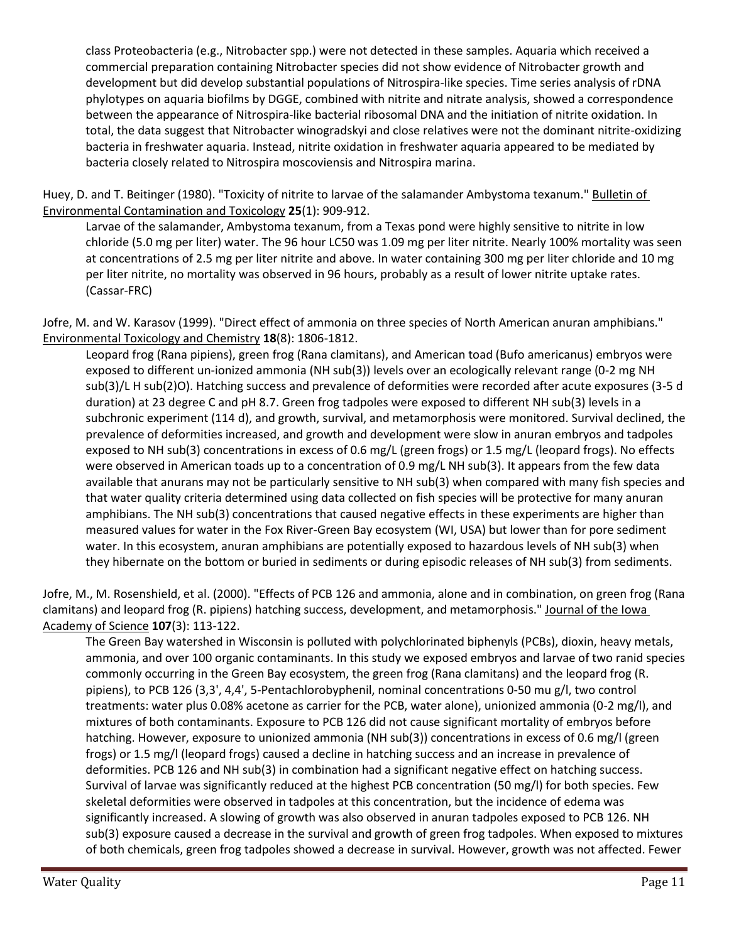class Proteobacteria (e.g., Nitrobacter spp.) were not detected in these samples. Aquaria which received a commercial preparation containing Nitrobacter species did not show evidence of Nitrobacter growth and development but did develop substantial populations of Nitrospira-like species. Time series analysis of rDNA phylotypes on aquaria biofilms by DGGE, combined with nitrite and nitrate analysis, showed a correspondence between the appearance of Nitrospira-like bacterial ribosomal DNA and the initiation of nitrite oxidation. In total, the data suggest that Nitrobacter winogradskyi and close relatives were not the dominant nitrite-oxidizing bacteria in freshwater aquaria. Instead, nitrite oxidation in freshwater aquaria appeared to be mediated by bacteria closely related to Nitrospira moscoviensis and Nitrospira marina.

Huey, D. and T. Beitinger (1980). "Toxicity of nitrite to larvae of the salamander Ambystoma texanum." Bulletin of Environmental Contamination and Toxicology **25**(1): 909-912.

Larvae of the salamander, Ambystoma texanum, from a Texas pond were highly sensitive to nitrite in low chloride (5.0 mg per liter) water. The 96 hour LC50 was 1.09 mg per liter nitrite. Nearly 100% mortality was seen at concentrations of 2.5 mg per liter nitrite and above. In water containing 300 mg per liter chloride and 10 mg per liter nitrite, no mortality was observed in 96 hours, probably as a result of lower nitrite uptake rates. (Cassar-FRC)

Jofre, M. and W. Karasov (1999). "Direct effect of ammonia on three species of North American anuran amphibians." Environmental Toxicology and Chemistry **18**(8): 1806-1812.

Leopard frog (Rana pipiens), green frog (Rana clamitans), and American toad (Bufo americanus) embryos were exposed to different un-ionized ammonia (NH sub(3)) levels over an ecologically relevant range (0-2 mg NH sub(3)/L H sub(2)O). Hatching success and prevalence of deformities were recorded after acute exposures (3-5 d duration) at 23 degree C and pH 8.7. Green frog tadpoles were exposed to different NH sub(3) levels in a subchronic experiment (114 d), and growth, survival, and metamorphosis were monitored. Survival declined, the prevalence of deformities increased, and growth and development were slow in anuran embryos and tadpoles exposed to NH sub(3) concentrations in excess of 0.6 mg/L (green frogs) or 1.5 mg/L (leopard frogs). No effects were observed in American toads up to a concentration of 0.9 mg/L NH sub(3). It appears from the few data available that anurans may not be particularly sensitive to NH sub(3) when compared with many fish species and that water quality criteria determined using data collected on fish species will be protective for many anuran amphibians. The NH sub(3) concentrations that caused negative effects in these experiments are higher than measured values for water in the Fox River-Green Bay ecosystem (WI, USA) but lower than for pore sediment water. In this ecosystem, anuran amphibians are potentially exposed to hazardous levels of NH sub(3) when they hibernate on the bottom or buried in sediments or during episodic releases of NH sub(3) from sediments.

Jofre, M., M. Rosenshield, et al. (2000). "Effects of PCB 126 and ammonia, alone and in combination, on green frog (Rana clamitans) and leopard frog (R. pipiens) hatching success, development, and metamorphosis." Journal of the Iowa Academy of Science **107**(3): 113-122.

The Green Bay watershed in Wisconsin is polluted with polychlorinated biphenyls (PCBs), dioxin, heavy metals, ammonia, and over 100 organic contaminants. In this study we exposed embryos and larvae of two ranid species commonly occurring in the Green Bay ecosystem, the green frog (Rana clamitans) and the leopard frog (R. pipiens), to PCB 126 (3,3', 4,4', 5-Pentachlorobyphenil, nominal concentrations 0-50 mu g/l, two control treatments: water plus 0.08% acetone as carrier for the PCB, water alone), unionized ammonia (0-2 mg/l), and mixtures of both contaminants. Exposure to PCB 126 did not cause significant mortality of embryos before hatching. However, exposure to unionized ammonia (NH sub(3)) concentrations in excess of 0.6 mg/l (green frogs) or 1.5 mg/l (leopard frogs) caused a decline in hatching success and an increase in prevalence of deformities. PCB 126 and NH sub(3) in combination had a significant negative effect on hatching success. Survival of larvae was significantly reduced at the highest PCB concentration (50 mg/l) for both species. Few skeletal deformities were observed in tadpoles at this concentration, but the incidence of edema was significantly increased. A slowing of growth was also observed in anuran tadpoles exposed to PCB 126. NH sub(3) exposure caused a decrease in the survival and growth of green frog tadpoles. When exposed to mixtures of both chemicals, green frog tadpoles showed a decrease in survival. However, growth was not affected. Fewer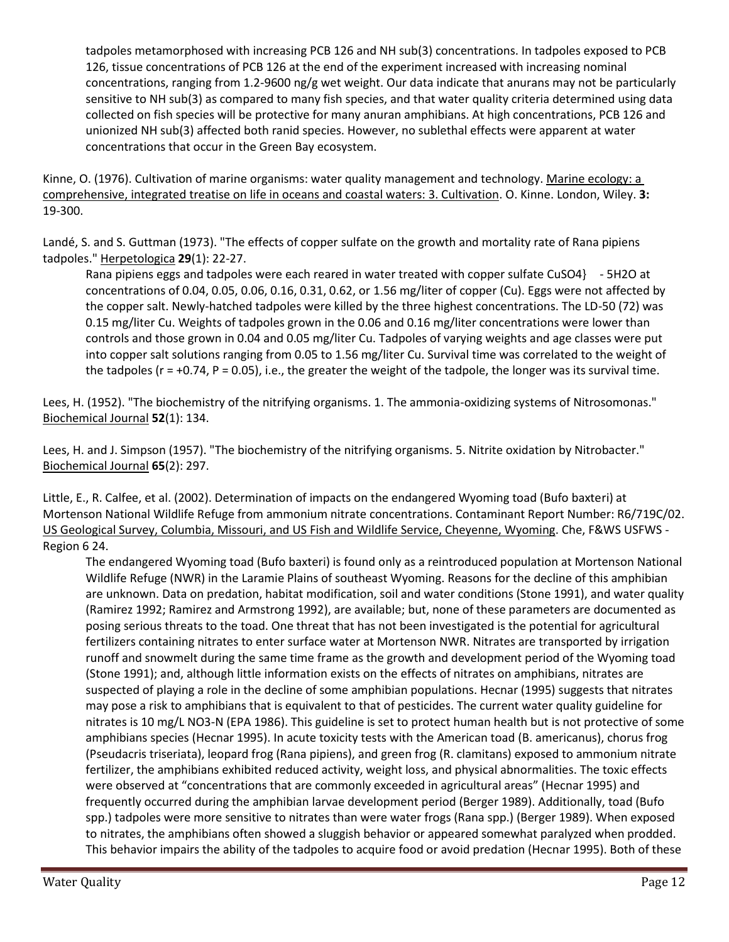tadpoles metamorphosed with increasing PCB 126 and NH sub(3) concentrations. In tadpoles exposed to PCB 126, tissue concentrations of PCB 126 at the end of the experiment increased with increasing nominal concentrations, ranging from 1.2-9600 ng/g wet weight. Our data indicate that anurans may not be particularly sensitive to NH sub(3) as compared to many fish species, and that water quality criteria determined using data collected on fish species will be protective for many anuran amphibians. At high concentrations, PCB 126 and unionized NH sub(3) affected both ranid species. However, no sublethal effects were apparent at water concentrations that occur in the Green Bay ecosystem.

Kinne, O. (1976). Cultivation of marine organisms: water quality management and technology. Marine ecology: a comprehensive, integrated treatise on life in oceans and coastal waters: 3. Cultivation. O. Kinne. London, Wiley. **3:**  19-300.

Landé, S. and S. Guttman (1973). "The effects of copper sulfate on the growth and mortality rate of Rana pipiens tadpoles." Herpetologica **29**(1): 22-27.

Rana pipiens eggs and tadpoles were each reared in water treated with copper sulfate CuSO4} - 5H2O at concentrations of 0.04, 0.05, 0.06, 0.16, 0.31, 0.62, or 1.56 mg/liter of copper (Cu). Eggs were not affected by the copper salt. Newly-hatched tadpoles were killed by the three highest concentrations. The LD-50 (72) was 0.15 mg/liter Cu. Weights of tadpoles grown in the 0.06 and 0.16 mg/liter concentrations were lower than controls and those grown in 0.04 and 0.05 mg/liter Cu. Tadpoles of varying weights and age classes were put into copper salt solutions ranging from 0.05 to 1.56 mg/liter Cu. Survival time was correlated to the weight of the tadpoles ( $r = +0.74$ ,  $P = 0.05$ ), i.e., the greater the weight of the tadpole, the longer was its survival time.

Lees, H. (1952). "The biochemistry of the nitrifying organisms. 1. The ammonia-oxidizing systems of Nitrosomonas." Biochemical Journal **52**(1): 134.

Lees, H. and J. Simpson (1957). "The biochemistry of the nitrifying organisms. 5. Nitrite oxidation by Nitrobacter." Biochemical Journal **65**(2): 297.

Little, E., R. Calfee, et al. (2002). Determination of impacts on the endangered Wyoming toad (Bufo baxteri) at Mortenson National Wildlife Refuge from ammonium nitrate concentrations. Contaminant Report Number: R6/719C/02. US Geological Survey, Columbia, Missouri, and US Fish and Wildlife Service, Cheyenne, Wyoming. Che, F&WS USFWS - Region 6 24.

The endangered Wyoming toad (Bufo baxteri) is found only as a reintroduced population at Mortenson National Wildlife Refuge (NWR) in the Laramie Plains of southeast Wyoming. Reasons for the decline of this amphibian are unknown. Data on predation, habitat modification, soil and water conditions (Stone 1991), and water quality (Ramirez 1992; Ramirez and Armstrong 1992), are available; but, none of these parameters are documented as posing serious threats to the toad. One threat that has not been investigated is the potential for agricultural fertilizers containing nitrates to enter surface water at Mortenson NWR. Nitrates are transported by irrigation runoff and snowmelt during the same time frame as the growth and development period of the Wyoming toad (Stone 1991); and, although little information exists on the effects of nitrates on amphibians, nitrates are suspected of playing a role in the decline of some amphibian populations. Hecnar (1995) suggests that nitrates may pose a risk to amphibians that is equivalent to that of pesticides. The current water quality guideline for nitrates is 10 mg/L NO3-N (EPA 1986). This guideline is set to protect human health but is not protective of some amphibians species (Hecnar 1995). In acute toxicity tests with the American toad (B. americanus), chorus frog (Pseudacris triseriata), leopard frog (Rana pipiens), and green frog (R. clamitans) exposed to ammonium nitrate fertilizer, the amphibians exhibited reduced activity, weight loss, and physical abnormalities. The toxic effects were observed at "concentrations that are commonly exceeded in agricultural areas" (Hecnar 1995) and frequently occurred during the amphibian larvae development period (Berger 1989). Additionally, toad (Bufo spp.) tadpoles were more sensitive to nitrates than were water frogs (Rana spp.) (Berger 1989). When exposed to nitrates, the amphibians often showed a sluggish behavior or appeared somewhat paralyzed when prodded. This behavior impairs the ability of the tadpoles to acquire food or avoid predation (Hecnar 1995). Both of these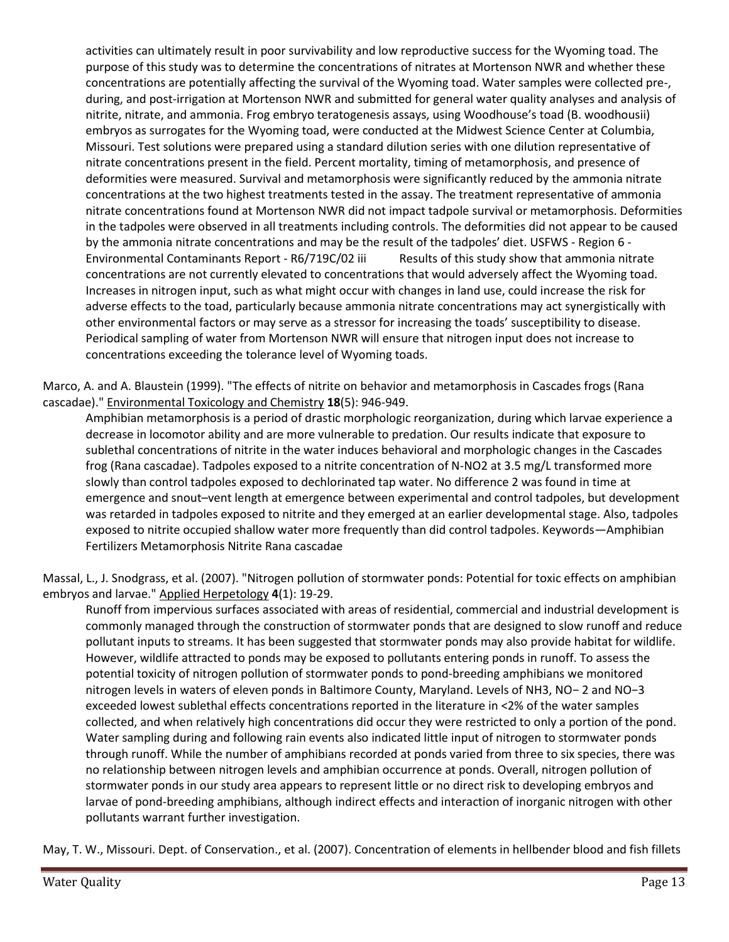activities can ultimately result in poor survivability and low reproductive success for the Wyoming toad. The purpose of this study was to determine the concentrations of nitrates at Mortenson NWR and whether these concentrations are potentially affecting the survival of the Wyoming toad. Water samples were collected pre-, during, and post-irrigation at Mortenson NWR and submitted for general water quality analyses and analysis of nitrite, nitrate, and ammonia. Frog embryo teratogenesis assays, using Woodhouse's toad (B. woodhousii) embryos as surrogates for the Wyoming toad, were conducted at the Midwest Science Center at Columbia, Missouri. Test solutions were prepared using a standard dilution series with one dilution representative of nitrate concentrations present in the field. Percent mortality, timing of metamorphosis, and presence of deformities were measured. Survival and metamorphosis were significantly reduced by the ammonia nitrate concentrations at the two highest treatments tested in the assay. The treatment representative of ammonia nitrate concentrations found at Mortenson NWR did not impact tadpole survival or metamorphosis. Deformities in the tadpoles were observed in all treatments including controls. The deformities did not appear to be caused by the ammonia nitrate concentrations and may be the result of the tadpoles' diet. USFWS - Region 6 - Environmental Contaminants Report - R6/719C/02 iii Results of this study show that ammonia nitrate concentrations are not currently elevated to concentrations that would adversely affect the Wyoming toad. Increases in nitrogen input, such as what might occur with changes in land use, could increase the risk for adverse effects to the toad, particularly because ammonia nitrate concentrations may act synergistically with other environmental factors or may serve as a stressor for increasing the toads' susceptibility to disease. Periodical sampling of water from Mortenson NWR will ensure that nitrogen input does not increase to concentrations exceeding the tolerance level of Wyoming toads.

Marco, A. and A. Blaustein (1999). "The effects of nitrite on behavior and metamorphosis in Cascades frogs (Rana cascadae)." Environmental Toxicology and Chemistry **18**(5): 946-949.

Amphibian metamorphosis is a period of drastic morphologic reorganization, during which larvae experience a decrease in locomotor ability and are more vulnerable to predation. Our results indicate that exposure to sublethal concentrations of nitrite in the water induces behavioral and morphologic changes in the Cascades frog (Rana cascadae). Tadpoles exposed to a nitrite concentration of N-NO2 at 3.5 mg/L transformed more slowly than control tadpoles exposed to dechlorinated tap water. No difference 2 was found in time at emergence and snout–vent length at emergence between experimental and control tadpoles, but development was retarded in tadpoles exposed to nitrite and they emerged at an earlier developmental stage. Also, tadpoles exposed to nitrite occupied shallow water more frequently than did control tadpoles. Keywords—Amphibian Fertilizers Metamorphosis Nitrite Rana cascadae

Massal, L., J. Snodgrass, et al. (2007). "Nitrogen pollution of stormwater ponds: Potential for toxic effects on amphibian embryos and larvae." Applied Herpetology **4**(1): 19-29.

Runoff from impervious surfaces associated with areas of residential, commercial and industrial development is commonly managed through the construction of stormwater ponds that are designed to slow runoff and reduce pollutant inputs to streams. It has been suggested that stormwater ponds may also provide habitat for wildlife. However, wildlife attracted to ponds may be exposed to pollutants entering ponds in runoff. To assess the potential toxicity of nitrogen pollution of stormwater ponds to pond-breeding amphibians we monitored nitrogen levels in waters of eleven ponds in Baltimore County, Maryland. Levels of NH3, NO− 2 and NO−3 exceeded lowest sublethal effects concentrations reported in the literature in <2% of the water samples collected, and when relatively high concentrations did occur they were restricted to only a portion of the pond. Water sampling during and following rain events also indicated little input of nitrogen to stormwater ponds through runoff. While the number of amphibians recorded at ponds varied from three to six species, there was no relationship between nitrogen levels and amphibian occurrence at ponds. Overall, nitrogen pollution of stormwater ponds in our study area appears to represent little or no direct risk to developing embryos and larvae of pond-breeding amphibians, although indirect effects and interaction of inorganic nitrogen with other pollutants warrant further investigation.

May, T. W., Missouri. Dept. of Conservation., et al. (2007). Concentration of elements in hellbender blood and fish fillets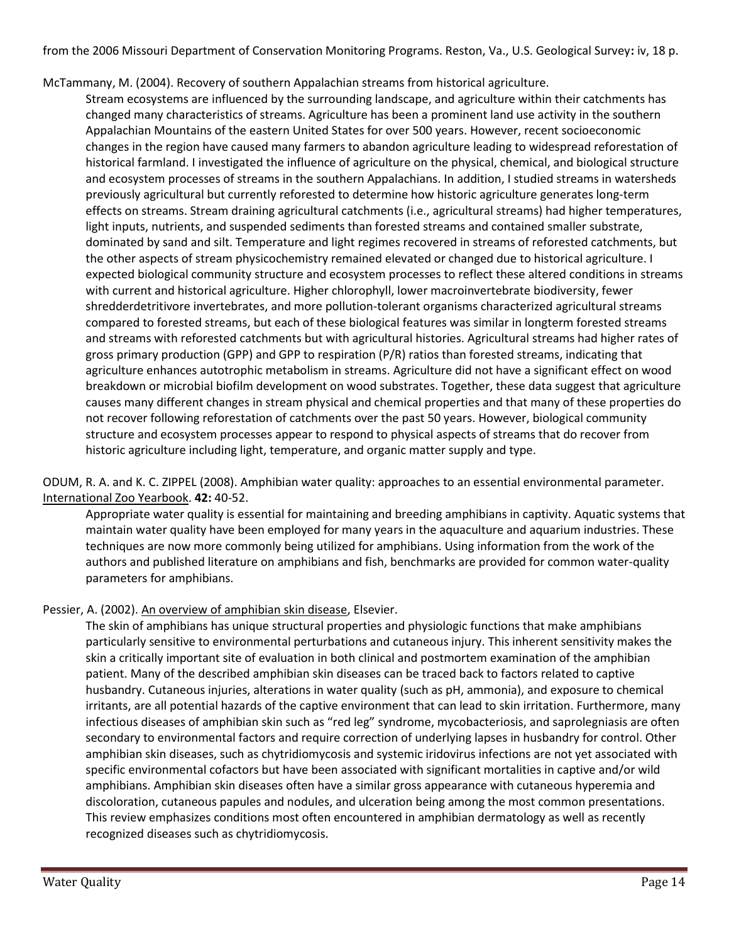from the 2006 Missouri Department of Conservation Monitoring Programs. Reston, Va., U.S. Geological Survey**:** iv, 18 p.

McTammany, M. (2004). Recovery of southern Appalachian streams from historical agriculture.

Stream ecosystems are influenced by the surrounding landscape, and agriculture within their catchments has changed many characteristics of streams. Agriculture has been a prominent land use activity in the southern Appalachian Mountains of the eastern United States for over 500 years. However, recent socioeconomic changes in the region have caused many farmers to abandon agriculture leading to widespread reforestation of historical farmland. I investigated the influence of agriculture on the physical, chemical, and biological structure and ecosystem processes of streams in the southern Appalachians. In addition, I studied streams in watersheds previously agricultural but currently reforested to determine how historic agriculture generates long-term effects on streams. Stream draining agricultural catchments (i.e., agricultural streams) had higher temperatures, light inputs, nutrients, and suspended sediments than forested streams and contained smaller substrate, dominated by sand and silt. Temperature and light regimes recovered in streams of reforested catchments, but the other aspects of stream physicochemistry remained elevated or changed due to historical agriculture. I expected biological community structure and ecosystem processes to reflect these altered conditions in streams with current and historical agriculture. Higher chlorophyll, lower macroinvertebrate biodiversity, fewer shredderdetritivore invertebrates, and more pollution-tolerant organisms characterized agricultural streams compared to forested streams, but each of these biological features was similar in longterm forested streams and streams with reforested catchments but with agricultural histories. Agricultural streams had higher rates of gross primary production (GPP) and GPP to respiration (P/R) ratios than forested streams, indicating that agriculture enhances autotrophic metabolism in streams. Agriculture did not have a significant effect on wood breakdown or microbial biofilm development on wood substrates. Together, these data suggest that agriculture causes many different changes in stream physical and chemical properties and that many of these properties do not recover following reforestation of catchments over the past 50 years. However, biological community structure and ecosystem processes appear to respond to physical aspects of streams that do recover from historic agriculture including light, temperature, and organic matter supply and type.

ODUM, R. A. and K. C. ZIPPEL (2008). Amphibian water quality: approaches to an essential environmental parameter. International Zoo Yearbook. **42:** 40-52.

Appropriate water quality is essential for maintaining and breeding amphibians in captivity. Aquatic systems that maintain water quality have been employed for many years in the aquaculture and aquarium industries. These techniques are now more commonly being utilized for amphibians. Using information from the work of the authors and published literature on amphibians and fish, benchmarks are provided for common water-quality parameters for amphibians.

## Pessier, A. (2002). An overview of amphibian skin disease, Elsevier.

The skin of amphibians has unique structural properties and physiologic functions that make amphibians particularly sensitive to environmental perturbations and cutaneous injury. This inherent sensitivity makes the skin a critically important site of evaluation in both clinical and postmortem examination of the amphibian patient. Many of the described amphibian skin diseases can be traced back to factors related to captive husbandry. Cutaneous injuries, alterations in water quality (such as pH, ammonia), and exposure to chemical irritants, are all potential hazards of the captive environment that can lead to skin irritation. Furthermore, many infectious diseases of amphibian skin such as "red leg" syndrome, mycobacteriosis, and saprolegniasis are often secondary to environmental factors and require correction of underlying lapses in husbandry for control. Other amphibian skin diseases, such as chytridiomycosis and systemic iridovirus infections are not yet associated with specific environmental cofactors but have been associated with significant mortalities in captive and/or wild amphibians. Amphibian skin diseases often have a similar gross appearance with cutaneous hyperemia and discoloration, cutaneous papules and nodules, and ulceration being among the most common presentations. This review emphasizes conditions most often encountered in amphibian dermatology as well as recently recognized diseases such as chytridiomycosis.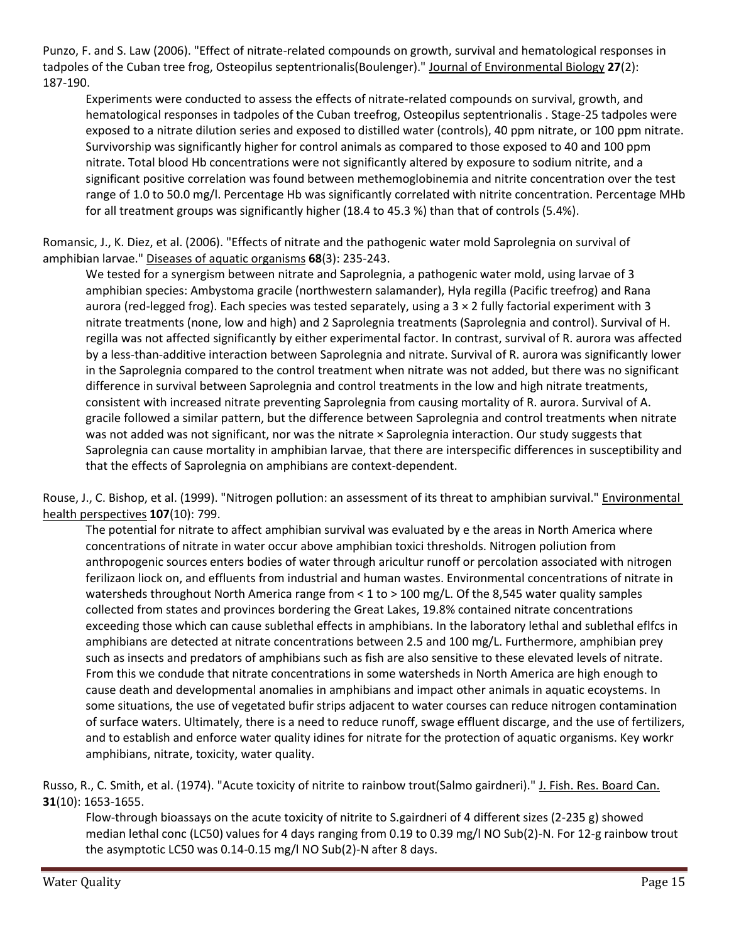Punzo, F. and S. Law (2006). "Effect of nitrate-related compounds on growth, survival and hematological responses in tadpoles of the Cuban tree frog, Osteopilus septentrionalis(Boulenger)." Journal of Environmental Biology **27**(2): 187-190.

Experiments were conducted to assess the effects of nitrate-related compounds on survival, growth, and hematological responses in tadpoles of the Cuban treefrog, Osteopilus septentrionalis . Stage-25 tadpoles were exposed to a nitrate dilution series and exposed to distilled water (controls), 40 ppm nitrate, or 100 ppm nitrate. Survivorship was significantly higher for control animals as compared to those exposed to 40 and 100 ppm nitrate. Total blood Hb concentrations were not significantly altered by exposure to sodium nitrite, and a significant positive correlation was found between methemoglobinemia and nitrite concentration over the test range of 1.0 to 50.0 mg/l. Percentage Hb was significantly correlated with nitrite concentration. Percentage MHb for all treatment groups was significantly higher (18.4 to 45.3 %) than that of controls (5.4%).

Romansic, J., K. Diez, et al. (2006). "Effects of nitrate and the pathogenic water mold Saprolegnia on survival of amphibian larvae." Diseases of aquatic organisms **68**(3): 235-243.

We tested for a synergism between nitrate and Saprolegnia, a pathogenic water mold, using larvae of 3 amphibian species: Ambystoma gracile (northwestern salamander), Hyla regilla (Pacific treefrog) and Rana aurora (red-legged frog). Each species was tested separately, using a 3 × 2 fully factorial experiment with 3 nitrate treatments (none, low and high) and 2 Saprolegnia treatments (Saprolegnia and control). Survival of H. regilla was not affected significantly by either experimental factor. In contrast, survival of R. aurora was affected by a less-than-additive interaction between Saprolegnia and nitrate. Survival of R. aurora was significantly lower in the Saprolegnia compared to the control treatment when nitrate was not added, but there was no significant difference in survival between Saprolegnia and control treatments in the low and high nitrate treatments, consistent with increased nitrate preventing Saprolegnia from causing mortality of R. aurora. Survival of A. gracile followed a similar pattern, but the difference between Saprolegnia and control treatments when nitrate was not added was not significant, nor was the nitrate × Saprolegnia interaction. Our study suggests that Saprolegnia can cause mortality in amphibian larvae, that there are interspecific differences in susceptibility and that the effects of Saprolegnia on amphibians are context-dependent.

Rouse, J., C. Bishop, et al. (1999). "Nitrogen pollution: an assessment of its threat to amphibian survival." Environmental health perspectives **107**(10): 799.

The potential for nitrate to affect amphibian survival was evaluated by e the areas in North America where concentrations of nitrate in water occur above amphibian toxici thresholds. Nitrogen poliution from anthropogenic sources enters bodies of water through aricultur runoff or percolation associated with nitrogen ferilizaon liock on, and effluents from industrial and human wastes. Environmental concentrations of nitrate in watersheds throughout North America range from < 1 to > 100 mg/L. Of the 8,545 water quality samples collected from states and provinces bordering the Great Lakes, 19.8% contained nitrate concentrations exceeding those which can cause sublethal effects in amphibians. In the laboratory lethal and sublethal eflfcs in amphibians are detected at nitrate concentrations between 2.5 and 100 mg/L. Furthermore, amphibian prey such as insects and predators of amphibians such as fish are also sensitive to these elevated levels of nitrate. From this we condude that nitrate concentrations in some watersheds in North America are high enough to cause death and developmental anomalies in amphibians and impact other animals in aquatic ecoystems. In some situations, the use of vegetated bufir strips adjacent to water courses can reduce nitrogen contamination of surface waters. Ultimately, there is a need to reduce runoff, swage effluent discarge, and the use of fertilizers, and to establish and enforce water quality idines for nitrate for the protection of aquatic organisms. Key workr amphibians, nitrate, toxicity, water quality.

Russo, R., C. Smith, et al. (1974). "Acute toxicity of nitrite to rainbow trout(Salmo gairdneri)." J. Fish. Res. Board Can. **31**(10): 1653-1655.

Flow-through bioassays on the acute toxicity of nitrite to S.gairdneri of 4 different sizes (2-235 g) showed median lethal conc (LC50) values for 4 days ranging from 0.19 to 0.39 mg/l NO Sub(2)-N. For 12-g rainbow trout the asymptotic LC50 was 0.14-0.15 mg/l NO Sub(2)-N after 8 days.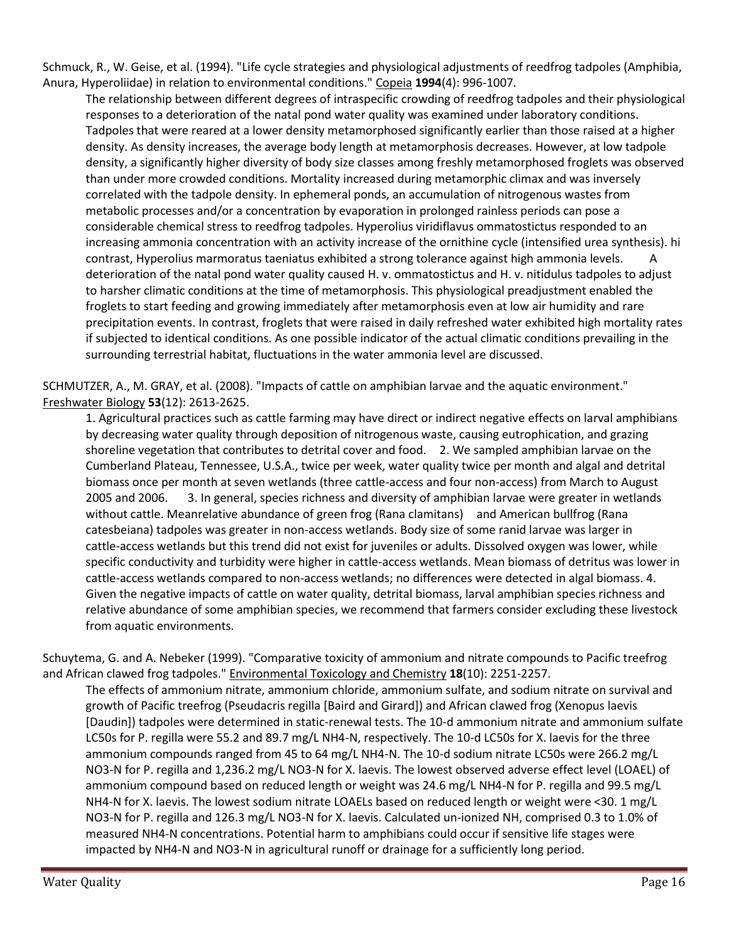Schmuck, R., W. Geise, et al. (1994). "Life cycle strategies and physiological adjustments of reedfrog tadpoles (Amphibia, Anura, Hyperoliidae) in relation to environmental conditions." Copeia **1994**(4): 996-1007.

The relationship between different degrees of intraspecific crowding of reedfrog tadpoles and their physiological responses to a deterioration of the natal pond water quality was examined under laboratory conditions. Tadpoles that were reared at a lower density metamorphosed significantly earlier than those raised at a higher density. As density increases, the average body length at metamorphosis decreases. However, at low tadpole density, a significantly higher diversity of body size classes among freshly metamorphosed froglets was observed than under more crowded conditions. Mortality increased during metamorphic climax and was inversely correlated with the tadpole density. In ephemeral ponds, an accumulation of nitrogenous wastes from metabolic processes and/or a concentration by evaporation in prolonged rainless periods can pose a considerable chemical stress to reedfrog tadpoles. Hyperolius viridiflavus ommatostictus responded to an increasing ammonia concentration with an activity increase of the ornithine cycle (intensified urea synthesis). hi contrast, Hyperolius marmoratus taeniatus exhibited a strong tolerance against high ammonia levels. A deterioration of the natal pond water quality caused H. v. ommatostictus and H. v. nitidulus tadpoles to adjust to harsher climatic conditions at the time of metamorphosis. This physiological preadjustment enabled the froglets to start feeding and growing immediately after metamorphosis even at low air humidity and rare precipitation events. In contrast, froglets that were raised in daily refreshed water exhibited high mortality rates if subjected to identical conditions. As one possible indicator of the actual climatic conditions prevailing in the surrounding terrestrial habitat, fluctuations in the water ammonia level are discussed.

SCHMUTZER, A., M. GRAY, et al. (2008). "Impacts of cattle on amphibian larvae and the aquatic environment." Freshwater Biology **53**(12): 2613-2625.

1. Agricultural practices such as cattle farming may have direct or indirect negative effects on larval amphibians by decreasing water quality through deposition of nitrogenous waste, causing eutrophication, and grazing shoreline vegetation that contributes to detrital cover and food. 2. We sampled amphibian larvae on the Cumberland Plateau, Tennessee, U.S.A., twice per week, water quality twice per month and algal and detrital biomass once per month at seven wetlands (three cattle-access and four non-access) from March to August 2005 and 2006. 3. In general, species richness and diversity of amphibian larvae were greater in wetlands without cattle. Meanrelative abundance of green frog (Rana clamitans) and American bullfrog (Rana catesbeiana) tadpoles was greater in non-access wetlands. Body size of some ranid larvae was larger in cattle-access wetlands but this trend did not exist for juveniles or adults. Dissolved oxygen was lower, while specific conductivity and turbidity were higher in cattle-access wetlands. Mean biomass of detritus was lower in cattle-access wetlands compared to non-access wetlands; no differences were detected in algal biomass. 4. Given the negative impacts of cattle on water quality, detrital biomass, larval amphibian species richness and relative abundance of some amphibian species, we recommend that farmers consider excluding these livestock from aquatic environments.

Schuytema, G. and A. Nebeker (1999). "Comparative toxicity of ammonium and nitrate compounds to Pacific treefrog and African clawed frog tadpoles." Environmental Toxicology and Chemistry **18**(10): 2251-2257.

The effects of ammonium nitrate, ammonium chloride, ammonium sulfate, and sodium nitrate on survival and growth of Pacific treefrog (Pseudacris regilla [Baird and Girard]) and African clawed frog (Xenopus laevis [Daudin]) tadpoles were determined in static-renewal tests. The 10-d ammonium nitrate and ammonium sulfate LC50s for P. regilla were 55.2 and 89.7 mg/L NH4-N, respectively. The 10-d LC50s for X. laevis for the three ammonium compounds ranged from 45 to 64 mg/L NH4-N. The 10-d sodium nitrate LC50s were 266.2 mg/L NO3-N for P. regilla and 1,236.2 mg/L NO3-N for X. laevis. The lowest observed adverse effect level (LOAEL) of ammonium compound based on reduced length or weight was 24.6 mg/L NH4-N for P. regilla and 99.5 mg/L NH4-N for X. laevis. The lowest sodium nitrate LOAELs based on reduced length or weight were <30. 1 mg/L NO3-N for P. regilla and 126.3 mg/L NO3-N for X. laevis. Calculated un-ionized NH, comprised 0.3 to 1.0% of measured NH4-N concentrations. Potential harm to amphibians could occur if sensitive life stages were impacted by NH4-N and NO3-N in agricultural runoff or drainage for a sufficiently long period.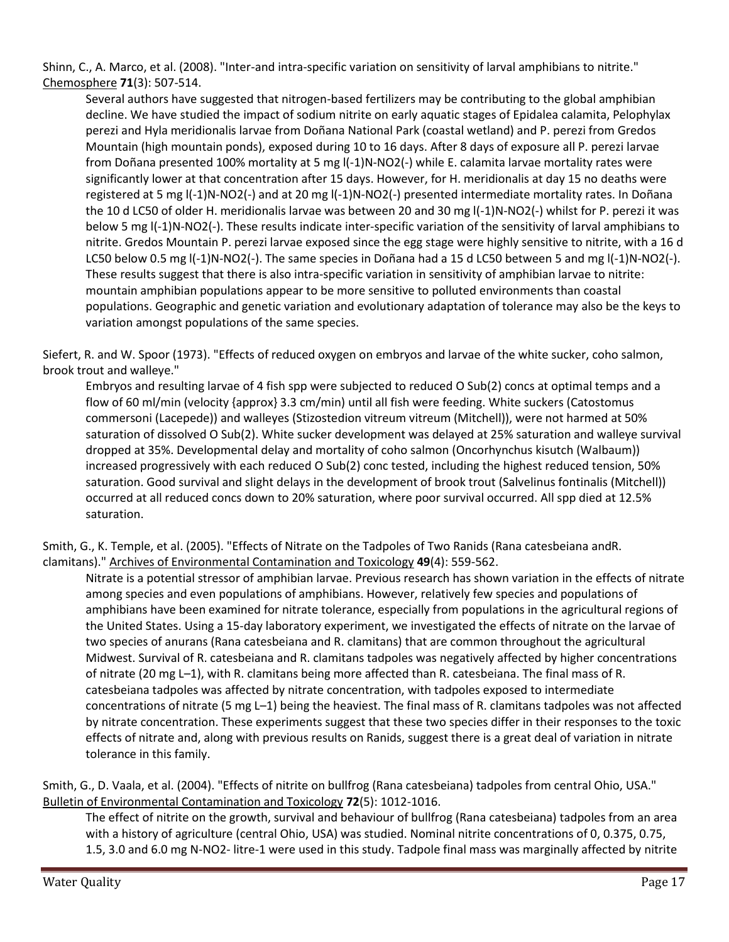Shinn, C., A. Marco, et al. (2008). "Inter-and intra-specific variation on sensitivity of larval amphibians to nitrite." Chemosphere **71**(3): 507-514.

Several authors have suggested that nitrogen-based fertilizers may be contributing to the global amphibian decline. We have studied the impact of sodium nitrite on early aquatic stages of Epidalea calamita, Pelophylax perezi and Hyla meridionalis larvae from Doñana National Park (coastal wetland) and P. perezi from Gredos Mountain (high mountain ponds), exposed during 10 to 16 days. After 8 days of exposure all P. perezi larvae from Doñana presented 100% mortality at 5 mg l(-1)N-NO2(-) while E. calamita larvae mortality rates were significantly lower at that concentration after 15 days. However, for H. meridionalis at day 15 no deaths were registered at 5 mg l(-1)N-NO2(-) and at 20 mg l(-1)N-NO2(-) presented intermediate mortality rates. In Doñana the 10 d LC50 of older H. meridionalis larvae was between 20 and 30 mg I(-1)N-NO2(-) whilst for P. perezi it was below 5 mg l(-1)N-NO2(-). These results indicate inter-specific variation of the sensitivity of larval amphibians to nitrite. Gredos Mountain P. perezi larvae exposed since the egg stage were highly sensitive to nitrite, with a 16 d LC50 below 0.5 mg l(-1)N-NO2(-). The same species in Doñana had a 15 d LC50 between 5 and mg l(-1)N-NO2(-). These results suggest that there is also intra-specific variation in sensitivity of amphibian larvae to nitrite: mountain amphibian populations appear to be more sensitive to polluted environments than coastal populations. Geographic and genetic variation and evolutionary adaptation of tolerance may also be the keys to variation amongst populations of the same species.

Siefert, R. and W. Spoor (1973). "Effects of reduced oxygen on embryos and larvae of the white sucker, coho salmon, brook trout and walleye."

Embryos and resulting larvae of 4 fish spp were subjected to reduced O Sub(2) concs at optimal temps and a flow of 60 ml/min (velocity {approx} 3.3 cm/min) until all fish were feeding. White suckers (Catostomus commersoni (Lacepede)) and walleyes (Stizostedion vitreum vitreum (Mitchell)), were not harmed at 50% saturation of dissolved O Sub(2). White sucker development was delayed at 25% saturation and walleye survival dropped at 35%. Developmental delay and mortality of coho salmon (Oncorhynchus kisutch (Walbaum)) increased progressively with each reduced O Sub(2) conc tested, including the highest reduced tension, 50% saturation. Good survival and slight delays in the development of brook trout (Salvelinus fontinalis (Mitchell)) occurred at all reduced concs down to 20% saturation, where poor survival occurred. All spp died at 12.5% saturation.

Smith, G., K. Temple, et al. (2005). "Effects of Nitrate on the Tadpoles of Two Ranids (Rana catesbeiana andR. clamitans)." Archives of Environmental Contamination and Toxicology **49**(4): 559-562.

Nitrate is a potential stressor of amphibian larvae. Previous research has shown variation in the effects of nitrate among species and even populations of amphibians. However, relatively few species and populations of amphibians have been examined for nitrate tolerance, especially from populations in the agricultural regions of the United States. Using a 15-day laboratory experiment, we investigated the effects of nitrate on the larvae of two species of anurans (Rana catesbeiana and R. clamitans) that are common throughout the agricultural Midwest. Survival of R. catesbeiana and R. clamitans tadpoles was negatively affected by higher concentrations of nitrate (20 mg L–1), with R. clamitans being more affected than R. catesbeiana. The final mass of R. catesbeiana tadpoles was affected by nitrate concentration, with tadpoles exposed to intermediate concentrations of nitrate (5 mg L–1) being the heaviest. The final mass of R. clamitans tadpoles was not affected by nitrate concentration. These experiments suggest that these two species differ in their responses to the toxic effects of nitrate and, along with previous results on Ranids, suggest there is a great deal of variation in nitrate tolerance in this family.

Smith, G., D. Vaala, et al. (2004). "Effects of nitrite on bullfrog (Rana catesbeiana) tadpoles from central Ohio, USA." Bulletin of Environmental Contamination and Toxicology **72**(5): 1012-1016.

The effect of nitrite on the growth, survival and behaviour of bullfrog (Rana catesbeiana) tadpoles from an area with a history of agriculture (central Ohio, USA) was studied. Nominal nitrite concentrations of 0, 0.375, 0.75, 1.5, 3.0 and 6.0 mg N-NO2- litre-1 were used in this study. Tadpole final mass was marginally affected by nitrite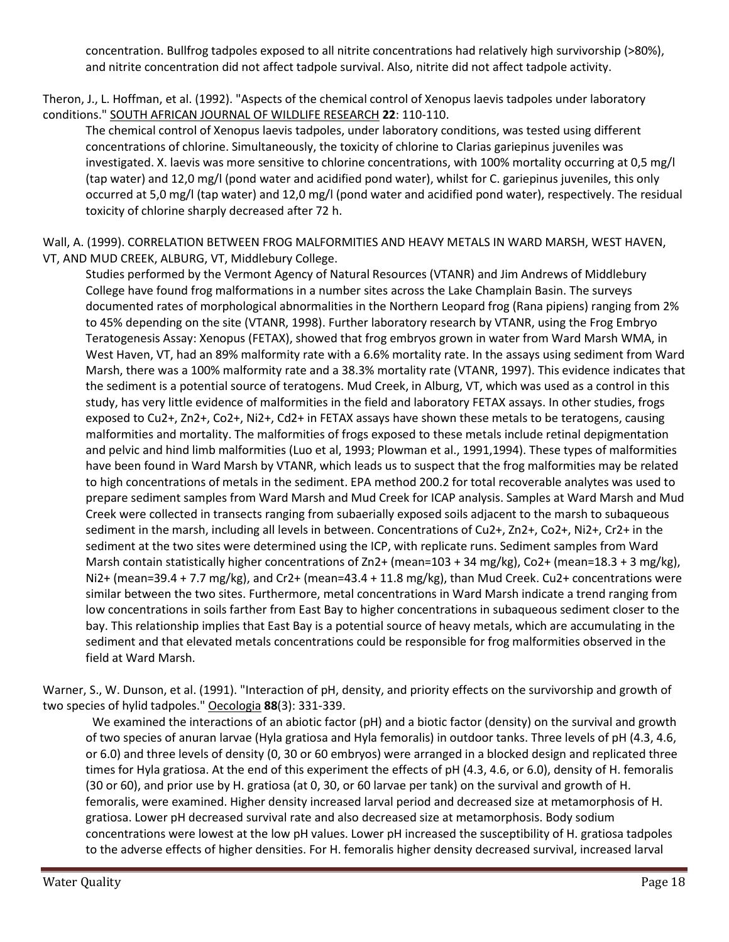concentration. Bullfrog tadpoles exposed to all nitrite concentrations had relatively high survivorship (>80%), and nitrite concentration did not affect tadpole survival. Also, nitrite did not affect tadpole activity.

Theron, J., L. Hoffman, et al. (1992). "Aspects of the chemical control of Xenopus laevis tadpoles under laboratory conditions." SOUTH AFRICAN JOURNAL OF WILDLIFE RESEARCH **22**: 110-110.

The chemical control of Xenopus laevis tadpoles, under laboratory conditions, was tested using different concentrations of chlorine. Simultaneously, the toxicity of chlorine to Clarias gariepinus juveniles was investigated. X. laevis was more sensitive to chlorine concentrations, with 100% mortality occurring at 0,5 mg/l (tap water) and 12,0 mg/l (pond water and acidified pond water), whilst for C. gariepinus juveniles, this only occurred at 5,0 mg/l (tap water) and 12,0 mg/l (pond water and acidified pond water), respectively. The residual toxicity of chlorine sharply decreased after 72 h.

Wall, A. (1999). CORRELATION BETWEEN FROG MALFORMITIES AND HEAVY METALS IN WARD MARSH, WEST HAVEN, VT, AND MUD CREEK, ALBURG, VT, Middlebury College.

Studies performed by the Vermont Agency of Natural Resources (VTANR) and Jim Andrews of Middlebury College have found frog malformations in a number sites across the Lake Champlain Basin. The surveys documented rates of morphological abnormalities in the Northern Leopard frog (Rana pipiens) ranging from 2% to 45% depending on the site (VTANR, 1998). Further laboratory research by VTANR, using the Frog Embryo Teratogenesis Assay: Xenopus (FETAX), showed that frog embryos grown in water from Ward Marsh WMA, in West Haven, VT, had an 89% malformity rate with a 6.6% mortality rate. In the assays using sediment from Ward Marsh, there was a 100% malformity rate and a 38.3% mortality rate (VTANR, 1997). This evidence indicates that the sediment is a potential source of teratogens. Mud Creek, in Alburg, VT, which was used as a control in this study, has very little evidence of malformities in the field and laboratory FETAX assays. In other studies, frogs exposed to Cu2+, Zn2+, Co2+, Ni2+, Cd2+ in FETAX assays have shown these metals to be teratogens, causing malformities and mortality. The malformities of frogs exposed to these metals include retinal depigmentation and pelvic and hind limb malformities (Luo et al, 1993; Plowman et al., 1991,1994). These types of malformities have been found in Ward Marsh by VTANR, which leads us to suspect that the frog malformities may be related to high concentrations of metals in the sediment. EPA method 200.2 for total recoverable analytes was used to prepare sediment samples from Ward Marsh and Mud Creek for ICAP analysis. Samples at Ward Marsh and Mud Creek were collected in transects ranging from subaerially exposed soils adjacent to the marsh to subaqueous sediment in the marsh, including all levels in between. Concentrations of Cu2+, Zn2+, Co2+, Ni2+, Cr2+ in the sediment at the two sites were determined using the ICP, with replicate runs. Sediment samples from Ward Marsh contain statistically higher concentrations of Zn2+ (mean=103 + 34 mg/kg), Co2+ (mean=18.3 + 3 mg/kg), Ni2+ (mean=39.4 + 7.7 mg/kg), and Cr2+ (mean=43.4 + 11.8 mg/kg), than Mud Creek. Cu2+ concentrations were similar between the two sites. Furthermore, metal concentrations in Ward Marsh indicate a trend ranging from low concentrations in soils farther from East Bay to higher concentrations in subaqueous sediment closer to the bay. This relationship implies that East Bay is a potential source of heavy metals, which are accumulating in the sediment and that elevated metals concentrations could be responsible for frog malformities observed in the field at Ward Marsh.

Warner, S., W. Dunson, et al. (1991). "Interaction of pH, density, and priority effects on the survivorship and growth of two species of hylid tadpoles." Oecologia **88**(3): 331-339.

We examined the interactions of an abiotic factor (pH) and a biotic factor (density) on the survival and growth of two species of anuran larvae (Hyla gratiosa and Hyla femoralis) in outdoor tanks. Three levels of pH (4.3, 4.6, or 6.0) and three levels of density (0, 30 or 60 embryos) were arranged in a blocked design and replicated three times for Hyla gratiosa. At the end of this experiment the effects of pH (4.3, 4.6, or 6.0), density of H. femoralis (30 or 60), and prior use by H. gratiosa (at 0, 30, or 60 larvae per tank) on the survival and growth of H. femoralis, were examined. Higher density increased larval period and decreased size at metamorphosis of H. gratiosa. Lower pH decreased survival rate and also decreased size at metamorphosis. Body sodium concentrations were lowest at the low pH values. Lower pH increased the susceptibility of H. gratiosa tadpoles to the adverse effects of higher densities. For H. femoralis higher density decreased survival, increased larval